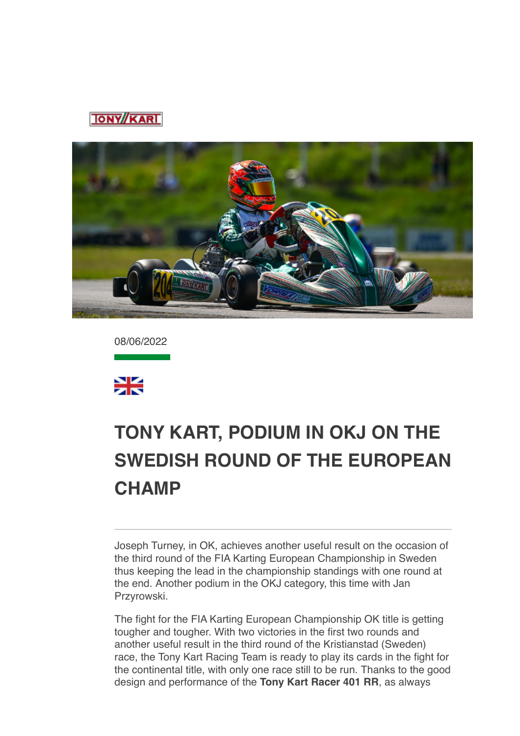



08/06/2022



## **TONY KART, PODIUM IN OKJ ON THE [SWEDISH ROUND OF THE EUROPEAN](data:text/html;charset=utf-8;base64,%20PGh0bWwgeG1sbnM9Imh0dHA6Ly93d3cudzMub3JnLzE5OTkveGh0bWwiIGNsYXNzPSJhcHBsZS1tYWlsLWltcGxpY2l0LWRhcmstc3VwcG9ydCIgc3R5bGU9Inpvb206IDE7Ij48aGVhZD48c3R5bGUgdHlwZT0idGV4dC9jc3MiPi8qCiAqICBNVUlXZWJEb2N1bWVudC5jc3MKICogIE1haWwKICoKICogIENvcHlyaWdodCAyMDEyIEFwcGxlIEluYy4gQWxsIHJpZ2h0cyByZXNlcnZlZC4gCiAqLwoKKiB7CiAgICAtd2Via2l0LXVzZXItbW9kaWZ5OiBpbml0aWFsICFpbXBvcnRhbnQ7Cn0KCmh0bWwgewogICAgZm9udDogMTIuMDAwMDAwcHggSGVsdmV0aWNhOwp9Cgpib2R5IHsKICAgIG1hcmdpbjogMThweCAyNXB4IDIycHg7CiAgICBwYWRkaW5nOiAwOwogICAgd29yZC13cmFwOiBicmVhay13b3JkOwogICAgd29yZC1icmVhazogYnJlYWstd29yZDsKIH0KCnRhYmxlIHsKICAgIHdvcmQtYnJlYWs6IG5vcm1hbDsKfQoKLyogQXR0YWNobWVudHMgKi8KCmltZy5BcHBsZS1zbWFsbC1pbWFnZSB7CiAgICB3aWR0aDozMjBweDsKfQoKaW1nLkFwcGxlLW1lZGl1bS1pbWFnZSB7CiAgICB3aWR0aDo2NDBweDsKfQoKaW1nLkFwcGxlLWxhcmdlLWltYWdlIHsKICAgIHdpZHRoOjEyODBweDsKfQoKQC13ZWJraXQta2V5ZnJhbWVzIEFwcGxlLWRpc2NyZXRlLXNwaW5uZXIgewogICAgLyogVGhlc2Uga2V5ZnJhbWVzIHRyeSB0byByZXByb2R1Y2UgdGhlIDE2IGRpc2NyZXRlIHN0ZXBzIHNlZW4gaW4gYSBzdGFuZGFyZCBzeXN0ZW0gcHJvZ3Jlc3MgaW5kaWNhdG9yLiAqLwogICAgMCUgewogICAgICAgIGJhY2tncm91bmQtaW1hZ2U6IHVybCgneC1idW5kbGUtcmVzb3VyY2U6SW5kZXRlcm1pbmF0ZVByb2dyZXNzU3Bpbm5lcjEucGRmJyk7CiAgICB9CiAgICA2LjI1MCUgewogICAgICAgIGJhY2tncm91bmQtaW1hZ2U6IHVybCgneC1idW5kbGUtcmVzb3VyY2U6SW5kZXRlcm1pbmF0ZVByb2dyZXNzU3Bpbm5lcjIucGRmJyk7CiAgICB9CiAgICAxMi41MDAlIHsKICAgICAgICBiYWNrZ3JvdW5kLWltYWdlOiB1cmwoJ3gtYnVuZGxlLXJlc291cmNlOkluZGV0ZXJtaW5hdGVQcm9ncmVzc1NwaW5uZXIzLnBkZicpOwogICAgfQogICAgMTguNzUwJSB7CiAgICAgICAgYmFja2dyb3VuZC1pbWFnZTogdXJsKCd4LWJ1bmRsZS1yZXNvdXJjZTpJbmRldGVybWluYXRlUHJvZ3Jlc3NTcGlubmVyNC5wZGYnKTsKICAgIH0KICAgIDI1LjAwMCUgewogICAgICAgIGJhY2tncm91bmQtaW1hZ2U6IHVybCgneC1idW5kbGUtcmVzb3VyY2U6SW5kZXRlcm1pbmF0ZVByb2dyZXNzU3Bpbm5lcjUucGRmJyk7CiAgICB9CiAgICAzMS4yNTAlIHsKICAgICAgICBiYWNrZ3JvdW5kLWltYWdlOiB1cmwoJ3gtYnVuZGxlLXJlc291cmNlOkluZGV0ZXJtaW5hdGVQcm9ncmVzc1NwaW5uZXI2LnBkZicpOwogICAgfQogICAgMzcuNTAwJSB7CiAgICAgICAgYmFja2dyb3VuZC1pbWFnZTogdXJsKCd4LWJ1bmRsZS1yZXNvdXJjZTpJbmRldGVybWluYXRlUHJvZ3Jlc3NTcGlubmVyNy5wZGYnKTsKICAgIH0KICAgIDQzLjc1MCUgewogICAgICAgIGJhY2tncm91bmQtaW1hZ2U6IHVybCgneC1idW5kbGUtcmVzb3VyY2U6SW5kZXRlcm1pbmF0ZVByb2dyZXNzU3Bpbm5lcjgucGRmJyk7CiAgICB9CiAgICA1MC4wMDAlIHsKICAgICAgICBiYWNrZ3JvdW5kLWltYWdlOiB1cmwoJ3gtYnVuZGxlLXJlc291cmNlOkluZGV0ZXJtaW5hdGVQcm9ncmVzc1NwaW5uZXI5LnBkZicpOwogICAgfQogICAgNTYuMjUwJSB7CiAgICAgICAgYmFja2dyb3VuZC1pbWFnZTogdXJsKCd4LWJ1bmRsZS1yZXNvdXJjZTpJbmRldGVybWluYXRlUHJvZ3Jlc3NTcGlubmVyMTAucGRmJyk7CiAgICB9CiAgICA2Mi41MDAlIHsKICAgICAgICBiYWNrZ3JvdW5kLWltYWdlOiB1cmwoJ3gtYnVuZGxlLXJlc291cmNlOkluZGV0ZXJtaW5hdGVQcm9ncmVzc1NwaW5uZXIxMS5wZGYnKTsKICAgIH0KICAgIDY4Ljc1MCUgewogICAgICAgIGJhY2tncm91bmQtaW1hZ2U6IHVybCgneC1idW5kbGUtcmVzb3VyY2U6SW5kZXRlcm1pbmF0ZVByb2dyZXNzU3Bpbm5lcjEyLnBkZicpOwogICAgfQogICAgNzUuMDAwJSB7CiAgICAgICAgYmFja2dyb3VuZC1pbWFnZTogdXJsKCd4LWJ1bmRsZS1yZXNvdXJjZTpJbmRldGVybWluYXRlUHJvZ3Jlc3NTcGlubmVyMTMucGRmJyk7CiAgICB9CiAgICA4MS4yNTAlIHsKICAgICAgICBiYWNrZ3JvdW5kLWltYWdlOiB1cmwoJ3gtYnVuZGxlLXJlc291cmNlOkluZGV0ZXJtaW5hdGVQcm9ncmVzc1NwaW5uZXIxNC5wZGYnKTsKICAgIH0KICAgIDg3LjUwMCUgewogICAgICAgIGJhY2tncm91bmQtaW1hZ2U6IHVybCgneC1idW5kbGUtcmVzb3VyY2U6SW5kZXRlcm1pbmF0ZVByb2dyZXNzU3Bpbm5lcjE1LnBkZicpOwogICAgfQogICAgOTMuNzUwJSB7CiAgICAgICAgYmFja2dyb3VuZC1pbWFnZTogdXJsKCd4LWJ1bmRsZS1yZXNvdXJjZTpJbmRldGVybWluYXRlUHJvZ3Jlc3NTcGlubmVyMTYucGRmJyk7CiAgICB9CiAgICAxMDAlIHsKICAgICAgICBiYWNrZ3JvdW5kLWltYWdlOiB1cmwoJ3gtYnVuZGxlLXJlc291cmNlOkluZGV0ZXJtaW5hdGVQcm9ncmVzc1NwaW5uZXIxLnBkZicpOwogICAgfQp9CgpkaXYuQXBwbGUtaW5kZXRlcm1pbmF0ZS1wcm9ncmVzcy1zcGlubmVyIHsKICAgIHdpZHRoOiAxNnB4OwogICAgaGVpZ2h0OiAxNnB4OwogICAgYmFja2dyb3VuZC1pbWFnZTogdXJsKCd4LWJ1bmRsZS1yZXNvdXJjZTpJbmRldGVybWluYXRlUHJvZ3Jlc3NTcGlubmVyMS5wZGYnKTsKICAgIGJhY2tncm91bmQtcmVwZWF0OiBuby1yZXBlYXQ7CiAgICBiYWNrZ3JvdW5kLXNpemU6IDEwMCUgMTAwJTsKICAgIC13ZWJraXQtYW5pbWF0aW9uLW5hbWU6IEFwcGxlLWRpc2NyZXRlLXNwaW5uZXI7CiAgICAtd2Via2l0LWFuaW1hdGlvbi1kdXJhdGlvbjogMXM7CiAgICAtd2Via2l0LWFuaW1hdGlvbi1pdGVyYXRpb24tY291bnQ6IGluZmluaXRlOwogICAgLXdlYmtpdC1hbmltYXRpb24tdGltaW5nLWZ1bmN0aW9uOiBzdGVwLXN0YXJ0Owp9CgovKiBMaXN0IFN0eWxlcyAqLwoKdWwuQXBwbGUtZGFzaC1saXN0LCB1bC5BcHBsZS1kYXNoLWxpc3QgdWwgewogICAgbGlzdC1zdHlsZS10eXBlOiBub25lOwp9CiAgICAKdWwuQXBwbGUtZGFzaC1saXN0IGxpOmJlZm9yZSB7CiAgICBjb250ZW50OiAiXDIwMTMiOwogICAgcG9zaXRpb246IGFic29sdXRlOwogICAgbWFyZ2luOiAwIC0xLjI1ZW07Cn0KCi8qIE9yZGVyZWQgTGlzdHM6IFN1cHBvcnQgOSBkZWVwLCBsaWtlIFBhZ2VzLCB0aGVuIGZhbGwgYmFjayB0byBkYXNoZXMgKi8Kb2wsIG9sIG9sIG9sIG9sLCBvbCBvbCBvbCBvbCBvbCBvbCBvbCB7CiAgICBsaXN0LXN0eWxlLXR5cGU6IGRlY2ltYWw7Cn0KCm9sIG9sLCBvbCBvbCBvbCBvbCBvbCwgb2wgb2wgb2wgb2wgb2wgb2wgb2wgb2wgewogICAgbGlzdC1zdHlsZS10eXBlOiBsb3dlci1hbHBoYTsKfQoKb2wgb2wgb2wsIG9sIG9sIG9sIG9sIG9sIG9sLCBvbCBvbCBvbCBvbCBvbCBvbCBvbCBvbCBvbCB7CiAgICBsaXN0LXN0eWxlLXR5cGU6IGxvd2VyLXJvbWFuOwp9CgpvbCBvbCBvbCBvbCBvbCBvbCBvbCBvbCBvbCBvbCB7CiAgICBsaXN0LXN0eWxlLXR5cGU6IG5vbmU7Cn0KCm9sIG9sIG9sIG9sIG9sIG9sIG9sIG9sIG9sIG9sIGxpOmJlZm9yZSB7CiAgICBjb250ZW50OiAiXDIwMTMiOwogICAgcG9zaXRpb246IGFic29sdXRlOwogICAgLXdlYmtpdC1tYXJnaW4tc3RhcnQ6IC0xLjI1ZW07Cn0KCi8qIE1haWwtc3BlY2lmaWMgU3R5bGVzICovCgphLngtYXBwbGUtbWFpbC1zZWUtbW9yZSwgYS54LWFwcGxlLW1haWwtc2VlLW1vcmUtZnJvbSB7CiAgICBmb250LXNpemU6IDEwcHg7CiAgICBmb250LWZhbWlseTogSGVsdmV0aWNhOwogICAgdGV4dC1kZWNvcmF0aW9uOiBub25lOwogICAgY29sb3I6IC1hcHBsZS1zeXN0ZW0tYmx1ZTsKICAgIC1hcHBsZS1jb2xvci1maWx0ZXI6IG5vbmU7Cn0KCmEueC1hcHBsZS1tYWlsLXNlZS1tb3JlIHsKICAgIGZvbnQtc2l6ZTogMTFweDsKICAgIGZvbnQtd2VpZ2h0OiBib2xkOwp9Cgpib2R5LkFwcGxlUGxhaW5UZXh0Qm9keSB7CiAgICAtd2Via2l0LW5ic3AtbW9kZTogc3BhY2U7CiAgICBmb250LXNpemU6IGluaGVyaXRweDsKICAgIGZvbnQtZmFtaWx5OiBpbmhlcml0Owp9Cgpib2R5LlNpbmdsZXRvbiB7CiAgICBtYXJnaW4tbGVmdDogMzZweDsKfQoKLngtYXBwbGUtbWFpbGRyb3BiYW5uZXIgewogICAgZGlzcGxheTogbm9uZTsKfQoKYmxvY2txdW90ZVt0eXBlPWNpdGVdIHsKICAgIHBhZGRpbmctbGVmdDogOHB4OwogICAgbWFyZ2luOiAwOwogICAgYm9yZGVyLWxlZnQtd2lkdGg6IDJweDsKICAgIGJvcmRlci1sZWZ0LXN0eWxlOiBzb2xpZDsKICAgIGJvcmRlci1sZWZ0LWNvbG9yOiByZ2JhKDg4LCA4NiwgMjE0LCAyNTUpOwogICAgY29sb3I6IHJnYmEoODgsIDg2LCAyMTQsIDI1NSk7Cn0KCmJsb2NrcXVvdGVbdHlwZT1jaXRlXSBibG9ja3F1b3RlW3R5cGU9Y2l0ZV0gewogICAgYm9yZGVyLWxlZnQtd2lkdGg6IDJweDsKICAgIGJvcmRlci1sZWZ0LXN0eWxlOiBzb2xpZDsKICAgIGJvcmRlci1sZWZ0LWNvbG9yOiByZ2JhKDAsIDE3NSwgMjA1LCAyNTUpOwogICAgY29sb3I6IHJnYmEoMCwgMTc1LCAyMDUsIDI1NSk7Cn0KCmJsb2NrcXVvdGVbdHlwZT1jaXRlXSBibG9ja3F1b3RlW3R5cGU9Y2l0ZV0gYmxvY2txdW90ZVt0eXBlPWNpdGVdIHsKICAgIGJvcmRlci1sZWZ0LXdpZHRoOiAycHg7CiAgICBib3JkZXItbGVmdC1zdHlsZTogc29saWQ7CiAgICBib3JkZXItbGVmdC1jb2xvcjogcmdiYSgxOCwgMTkyLCAxNCwgMjU1KTsKICAgIGNvbG9yOiByZ2JhKDE4LCAxOTIsIDE0LCAyNTUpOwp9CgppbWcuQXBwbGUtd2ViLWF0dGFjaG1lbnQgewogICAgdmVydGljYWwtYWxpZ246IHRvcCAhaW1wb3J0YW50OwogICAgbWF4LXdpZHRoOiAxMDAlICFpbXBvcnRhbnQ7Cn0KCnZpZGVvLkFwcGxlLXdlYi1hdHRhY2htZW50IHsKICAgIG1heC13aWR0aDogMTAwJSAhaW1wb3J0YW50Owp9CgppbWcuQXBwbGUtZWRnZS10by1lZGdlLXZpc3VhbC1tZWRpYSwgdmlkZW8uQXBwbGUtZWRnZS10by1lZGdlLXZpc3VhbC1tZWRpYSB7CiAgICBkaXNwbGF5OiBibG9jazsKICAgIG1heC13aWR0aDogY2FsYygxMDAlICsgNTBweCkgIWltcG9ydGFudDsKICAgIG1hcmdpbjogMCAtMjVweDsKfQoKaW1nLkFwcGxlLWVkZ2UtdG8tZWRnZS12aXN1YWwtbWVkaWEuU2luZ2xldG9uLCB2aWRlby5BcHBsZS1lZGdlLXRvLWVkZ2UtdmlzdWFsLW1lZGlhLlNpbmdsZXRvbiB7CiAgICBkaXNwbGF5OiBibG9jazsKICAgIG1heC13aWR0aDogY2FsYygxMDAlICsgNjFweCkgIWltcG9ydGFudDsKICAgIG1hcmdpbjogMCAtMjVweCAwIC0zNnB4Owp9CgoKLyogTWVkaWEgUXVlcnkgT3ZlcnJpZGVzIChMZWF2ZSBhdCBib3R0b20pICovCgpAbWVkaWEgc2NyZWVuIGFuZCAocHJlZmVycy1jb2xvci1zY2hlbWU6IGRhcmspIHsKICAgIC8qIEltcGxpY2l0IChjb2xvci1maWx0ZXJlZCkgZGFyayBtb2RlICovCiAgICA6cm9vdC5hcHBsZS1tYWlsLWltcGxpY2l0LWRhcmstc3VwcG9ydCB7CiAgICAgICAgLWFwcGxlLWNvbG9yLWZpbHRlcjogYXBwbGUtaW52ZXJ0LWxpZ2h0bmVzcygpOwogICAgICAgIC0tcXVvdGUtYmFyLWNvbG9yLWxldmVsLTE6IC1hcHBsZS1zeXN0ZW0tcHVycGxlOwogICAgICAgIC0tcXVvdGUtdGV4dC1jb2xvci1sZXZlbC0xOiAtYXBwbGUtc3lzdGVtLXB1cnBsZTsKICAgICAgICAtLXF1b3RlLWJhci1jb2xvci1sZXZlbC0yOiByZ2JhKDAsIDE3NSwgMjA1LCAyNTUpOwogICAgICAgIC0tcXVvdGUtdGV4dC1jb2xvci1sZXZlbC0yOiByZ2JhKDAsIDE3NSwgMjA1LCAyNTUpOwogICAgICAgIC0tcXVvdGUtYmFyLWNvbG9yLWxldmVsLTM6IHJnYmEoMTgsIDE5MiwgMTQsIDI1NSk7CiAgICAgICAgLS1xdW90ZS10ZXh0LWNvbG9yLWxldmVsLTM6IHJnYmEoMTgsIDE5MiwgMTQsIDI1NSk7CiAgICB9CgogICAgLyogRXhwbGljaXQgKGRlY2xhcmVkKSBkYXJrIG1vZGUgKi8KICAgIDpyb290Om5vdCguYXBwbGUtbWFpbC1pbXBsaWNpdC1kYXJrLXN1cHBvcnQpIHsKICAgICAgICAtLXF1b3RlLWJhci1jb2xvci1sZXZlbC0xOiAtYXBwbGUtc3lzdGVtLXB1cnBsZTsKICAgICAgICAtLXF1b3RlLXRleHQtY29sb3ItbGV2ZWwtMTogLWFwcGxlLXN5c3RlbS1wdXJwbGU7CiAgICAgICAgLS1xdW90ZS1iYXItY29sb3ItbGV2ZWwtMjogcmdiYSgwLCAyMDAsIDI1MCwgMjU1KTsKICAgICAgICAtLXF1b3RlLXRleHQtY29sb3ItbGV2ZWwtMjogcmdiYSgwLCAyMDAsIDI1MCwgMjU1KTsKICAgICAgICAtLXF1b3RlLWJhci1jb2xvci1sZXZlbC0zOiByZ2JhKDg3LCAyMTcsIDExOSwgMjU1KTsKICAgICAgICAtLXF1b3RlLXRleHQtY29sb3ItbGV2ZWwtMzogcmdiYSg4NywgMjE3LCAxMTksIDI1NSk7CiAgICB9CgogICAgYmxvY2txdW90ZVt0eXBlPWNpdGVdIHsKICAgICAgICBib3JkZXItbGVmdC1jb2xvcjogdmFyKC0tcXVvdGUtYmFyLWNvbG9yLWxldmVsLTEpOwogICAgICAgIGNvbG9yOiB2YXIoLS1xdW90ZS10ZXh0LWNvbG9yLWxldmVsLTEpOwogICAgfQoKICAgIGJsb2NrcXVvdGVbdHlwZT1jaXRlXSBibG9ja3F1b3RlW3R5cGU9Y2l0ZV0gewogICAgICAgIGJvcmRlci1sZWZ0LWNvbG9yOiB2YXIoLS1xdW90ZS1iYXItY29sb3ItbGV2ZWwtMik7CiAgICAgICAgY29sb3I6IHZhcigtLXF1b3RlLXRleHQtY29sb3ItbGV2ZWwtMik7CiAgICB9CgogICAgYmxvY2txdW90ZVt0eXBlPWNpdGVdIGJsb2NrcXVvdGVbdHlwZT1jaXRlXSBibG9ja3F1b3RlW3R5cGU9Y2l0ZV0gewogICAgICAgIGJvcmRlci1sZWZ0LWNvbG9yOiB2YXIoLS1xdW90ZS1iYXItY29sb3ItbGV2ZWwtMyk7CiAgICAgICAgY29sb3I6IHZhcigtLXF1b3RlLXRleHQtY29sb3ItbGV2ZWwtMyk7CiAgICB9Cn0KCi8qIFByaW50IFN0eWxlcyAqLwoKQG1lZGlhIHByaW50IHsKICAgIGJvZHkgewogICAgICAgIGZvbnQtc2l6ZTogODAlOwogICAgICAgIHBhZGRpbmc6IDA7CiAgICAgICAgbWFyZ2luOiAwOwogICAgfQp9Ci5NYWlsT3V0bGluZSB7IG1hcmdpbi10b3A6MDsgbWFyZ2luLWJvdHRvbTowOyB9Cjwvc3R5bGU+CgkJPG1ldGEgaHR0cC1lcXVpdj0iQ29udGVudC1UeXBlIiBjb250ZW50PSJ0ZXh0L2h0bWw7IGNoYXJzZXQ9dXRmLTgiPgoJCTx0aXRsZT5UT05ZS0FSVDwvdGl0bGU+Cgk8L2hlYWQ+Cgk8Ym9keSBiZ2NvbG9yPSIjZmZmZmZmIiBjbGFzcz0iU2luZ2xldG9uIj4KCQk8c3R5bGU+CgkJCWJvZHkgeyBtYXJnaW46MHB4OyB9CgkJPC9zdHlsZT4KCgkJPHRhYmxlIHdpZHRoPSIxMDAlIiBib3JkZXI9IjAiIGNlbGxzcGFjaW5nPSIwIiBjZWxscGFkZGluZz0iMCIgYmdjb2xvcj0iI2ZmZmZmZiI+CgkJCTx0Ym9keT48dHI+CgkJCQk8dGQgYWxpZ249ImNlbnRlciI+PC90ZD4KCQkJPC90cj4KCQkJPHRyPgoJCQkJPHRkPgoJCQkJCTx0YWJsZSB3aWR0aD0iNjAwIiBib3JkZXI9IjAiIGNlbGxzcGFjaW5nPSIwIiBjZWxscGFkZGluZz0iMCIgYmdjb2xvcj0iI0ZGRkZGRiIgYWxpZ249ImNlbnRlciI+CgkJCQkJCTx0Ym9keT48dHI+CgkJCQkJCQk8dGQgYmdjb2xvcj0iIzAwOGIzNSI+CgkJCQkJCQkJPCEtLSBoZWFkZXIgLS0+CgkJCQkJCQkJPHRhYmxlIGJvcmRlcj0iMCIgd2lkdGg9IjYwMCIgaGVpZ2h0PSI2MCIgY2VsbHNwYWNpbmc9IjAiIGNlbGxwYWRkaW5nPSIwIiBhbGlnbj0iY2VudGVyIj4KCQkJCQkJCQkJPHRib2R5Pjx0cj4KCQkJCQkJCQkJCTx0ZCB2YWxpZ249InRvcCI+CgkJCQkJCQkJCQkJPHRhYmxlIGJvcmRlcj0iMCIgY2VsbHBhZGRpbmc9IjAiIGNlbGxzcGFjaW5nPSIwIiBhbGlnbj0iY2VudGVyIiB3aWR0aD0iNjAwIiBiYWNrZ3JvdW5kPSIjMDA4ZDM2Ij4KCQkJCQkJCQkJCQkJPHRib2R5Pjx0cj4KCQkJCQkJCQkJCQkJCTx0ZCB2YWxpZ249Im1pZGRsZSIgc3R5bGU9InBhZGRpbmctbGVmdDoyMHB4Ij4KCQkJCQkJCQkJCQkJCQk8YSBocmVmPSIjIj48aW1nIHNyYz0iaHR0cDovL25ld3NsZXR0ZXIudG9ueWthcnQuY29tL2ltYWdlcy90b255a2FydC9sb2dvLnBuZyIgd2lkdGg9IjExMSIgaGVpZ2h0PSI2OCIgYWx0PSIiIGJvcmRlcj0iMCI+PC9hPgoJCQkJCQkJCQkJCQkJPC90ZD4KCQkJCQkJCQkJCQkJCTx0ZCB2YWxpZ249Im1pZGRsZSI+CgkJCQkJCQkJCQkJCQkJPHRhYmxlIGJvcmRlcj0iMCIgYmdjb2xvcj0iIzAwOGIzNSIgY2VsbHBhZGRpbmc9IjAiIGNlbGxzcGFjaW5nPSIwIiBhbGlnbj0icmlnaHQiPgoJCQkJCQkJCQkJCQkJCQk8dGJvZHk+PHRyPgoJCQkJCQkJCQkJCQkJCQkJPHRkIGNsYXNzPSJjZW50ZXIiIHN0eWxlPSJmb250LXNpemU6IDEzcHg7IGNvbG9yOiAjMjcyNzI3OyBmb250LXdlaWdodDogbGlnaHQ7IHRleHQtYWxpZ246IHJpZ2h0OyBmb250LWZhbWlseTogJ09wZW4gU2FucycsIEhlbHZldGljYSwgQXJpYWwsIHNhbnMtc2VyaWY7IGxpbmUtaGVpZ2h0OiAyMHB4OyB2ZXJ0aWNhbC1hbGlnbjogbWlkZGxlOyBwYWRkaW5nOjZweCAyMHB4IDBweCAyMHB4OyBmb250LXN0eWxlOml0YWxpYyI+CgkJCQkJCQkJCQkJCQkJCQkJPGEgaHJlZj0iaHR0cHM6Ly93d3cuZmFjZWJvb2suY29tL3Rvbnkua2FydC5vZmZpY2lhbC8/ZnJlZj10cyI+PGltZyBzcmM9Imh0dHA6Ly9uZXdzbGV0dGVyLnRvbnlrYXJ0LmNvbS9pbWFnZXMvdG9ueWthcnQvc29jaWFsX2ZhY2Vib29rLnBuZyIgYm9yZGVyPSIwIiBhbHQ9IiI+PC9hPgoJCQkJCQkJCQkJCQkJCQkJCTwhLS0gICAmbmJzcDsmbmJzcDsmbmJzcDsKCQkJCQkJCQkJCQkJCQkJCQk8YSBocmVmPSIjIj48aW1nIHNyYz0iaHR0cDovL25ld3NsZXR0ZXIudG9ueWthcnQuY29tL2ltYWdlcy90b255a2FydC9zb2NpYWxfdHdpdHRlci5wbmciIGJvcmRlcj0iMCIgYWx0PSIiPjwvYT4gLS0+CgkJCQkJCQkJCQkJCQkJCQkJJm5ic3A7Jm5ic3A7Jm5ic3A7CgkJCQkJCQkJCQkJCQkJCQkJPGEgaHJlZj0iaHR0cHM6Ly93d3cuaW5zdGFncmFtLmNvbS90b255a2FydG9mZmljaWFsLyAiPjxpbWcgc3JjPSJodHRwOi8vbmV3c2xldHRlci50b255a2FydC5jb20vaW1hZ2VzL3RvbnlrYXJ0L3NvY2lhbF9pbnN0YWdyYW0ucG5nIiBib3JkZXI9IjAiIGFsdD0iIj48L2E+CgkJCQkJCQkJCQkJCQkJCQkJJm5ic3A7Jm5ic3A7Jm5ic3A7CgkJCQkJCQkJCQkJCQkJCQkJPGEgaHJlZj0iaHR0cHM6Ly93d3cueW91dHViZS5jb20vY2hhbm5lbC9VQ2JILURnMlFKRlV3aGJBWG5qN1hGVnciPjxpbWcgc3JjPSJodHRwOi8vbmV3c2xldHRlci50b255a2FydC5jb20vaW1hZ2VzL3RvbnlrYXJ0L3NvY2lhbF95b3V0dWJlLnBuZyIgYm9yZGVyPSIwIiBhbHQ9IiI+PC9hPgoKCQkJCQkJCQkJCQkJCQkJCTwvdGQ+CgkJCQkJCQkJCQkJCQkJCTwvdHI+CgkJCQkJCQkJCQkJCQkJPC90Ym9keT48L3RhYmxlPgoJCQkJCQkJCQkJCQkJPC90ZD4KCQkJCQkJCQkJCQkJPC90cj4KCQkJCQkJCQkJCQk8L3Rib2R5PjwvdGFibGU+CgkJCQkJCQkJCQk8L3RkPgoJCQkJCQkJCQk8L3RyPgoJCQkJCQkJCQk8dHI+CgkJCQkJCQkJCQk8dGQgdmFsaWduPSJ0b3AiPgoJCQkJCQkJCQkJCTxpbWcgc3JjPSJodHRwOi8vbmV3c2xldHRlci50b255a2FydC5jb20vYWxsZWdhdGlfdGVtcGxhdGUvMjAyMi8yMDIyMDYwOC0xNDA3NDkxL3Rlc3RhdGEuanBlZyIgYWx0PSIiIHdpZHRoPSI2MDIiIGhlaWdodD0iMjUyIiBzdHlsZT0id2lkdGg6NjAycHg7IGhlaWdodDoyNTJweDsiPgoJCQkJCQkJCQkJPC90ZD4KCQkJCQkJCQkJPC90cj4KCQkJCQkJCQk8L3Rib2R5PjwvdGFibGU+CgkJCQkJCQkJPCEtLSAuaGVhZGVyIC0tPgoJCQkJCQkJPC90ZD4KCQkJCQkJPC90cj4KCQkJCQkJPHRyPgoJCQkJCQkJPHRkPgoJCQkJCQkJCTx0YWJsZSB3aWR0aD0iMTAwJSIgYm9yZGVyPSIwIiBjZWxsc3BhY2luZz0iMCIgY2VsbHBhZGRpbmc9IjAiPgoJCQkJCQkJCQk8dGJvZHk+PHRyPgoJCQkJCQkJCQkJPHRkIHdpZHRoPSIxMCUiPiZuYnNwOzwvdGQ+CgkJCQkJCQkJCQk8dGQgd2lkdGg9IjgwJSIgYWxpZ249ImxlZnQiIHZhbGlnbj0idG9wIj4KCQkJCQkJCQkJCQk8dGFibGUgd2lkdGg9IjEwMCUiIGJvcmRlcj0iMCIgY2VsbHNwYWNpbmc9IjAiIGNlbGxwYWRkaW5nPSIwIj4KCQkJCQkJCQkJCQkJPHRib2R5Pjx0cj48dGQ+Jm5ic3A7PC90ZD48L3RyPgoJCQkJCQkJCQkJCQk8dHI+CgkJCQkJCQkJCQkJCQk8dGQgYWxpZ249ImxlZnQiIHZhbGlnbj0idG9wIj4KCQkJCQkJCQkJCQkJCQk8dGFibGUgd2lkdGg9IjEwMCUiIGJvcmRlcj0iMCIgY2VsbHNwYWNpbmc9IjAiIGNlbGxwYWRkaW5nPSIwIj4KCQkJCQkJCQkJCQkJCQk8dGJvZHk+PHRyPgoJCQkJCQkJCQkJCQkJCQk8dGQgaGVpZ2h0PSIzNSIgYWxpZ249ImxlZnQiIHZhbGlnbj0ibWlkZGxlIj4KCQkJCQkJCQkJCQkJCQkJCTx0YWJsZSBib3JkZXI9IjAiIHdpZHRoPSIxMDAlIiBjZWxscGFkZGluZz0iMCIgY2VsbHNwYWNpbmc9IjAiPgoJCQkJCQkJCQkJCQkJCQkJPHRib2R5Pjx0cj4KCQkJCQkJCQkJCQkJCQkJCTx0ZCB3aWR0aD0iODAiIGFsaWduPSJsZWZ0IiB2YWxpZ249Im1pZGRsZSIgc3R5bGU9InBhZGRpbmctdG9wOjEwcHg7IHBhZGRpbmctYm90dG9tOiAxMHB4OyBib3JkZXItYm90dG9tOiA5cHggc29saWQgIzAwOGIzNSI+PGZvbnQgc3R5bGU9InRleHQtZGVjb3JhdGlvbjogbm9uZTsgZm9udC1zaXplOiAxNXB4OyBjb2xvcjogIzNhM2EzYTsgZm9udC1mYW1pbHk6J09wZW4gU2FucycsIEhlbHZldGljYSwgQXJpYWwsIHNhbnMtc2VyaWY7Ij4wOC8wNi8yMDIyPC9mb250PgoJCQkJCQkJCQkJCQkJCQkJPC90ZD4KCQkJCQkJCQkJCQkJCQkJCTx0ZCBhbGlnbj0icmlnaHQiIHZhbGlnbj0ibWlkZGxlIj4mbmJzcDs8L3RkPgoJCQkJCQkJCQkJCQkJCQkJPC90cj4KCQkJCQkJCQkJCQkJCQkJCTwvdGJvZHk+PC90YWJsZT4KCQkJCQkJCQkJCQkJCQkJPC90ZD4KCQkJCQkJCQkJCQkJCQk8L3RyPgoJCQkJCQkJCQkJCQkJCTx0cj48dGQ+Jm5ic3A7PC90ZD48L3RyPgoJCQkJCQkJCQkJCQkJCTwhLS0gSU5HTEVTRSAtLT4KCQkJCQkJCQkJCQkJCQkJCQkJCQkJCQkJCQkJCTwhLS0gQmFuZGllcmEgRU5HIC0tPgoJCQkJCQkJCQkJCQkJCTx0cj4KCQkJCQkJCQkJCQkJCQkJPHRkIGhlaWdodD0iNDAiIGFsaWduPSJsZWZ0IiB2YWxpZ249Im1pZGRsZSIgc3R5bGU9InBhZGRpbmctdG9wOjEwcHg7IHBhZGRpbmctYm90dG9tOjEwcHg7Ij4KCQkJCQkJCQkJCQkJCQkJPCEtLSBoZWFkbGluZSAtLT4KCQkJCQkJCQkJCQkJCQkJCTxpbWcgc3JjPSJodHRwOi8vbmV3c2xldHRlci50b255a2FydC5jb20vaW1hZ2VzL3RvbnlrYXJ0L2ZsYWctZW4uZ2lmIiBhbHQ9IiI+PGJyPjxicj4KCgkJCQkJCQkJCQkJCQkJCTwvdGQ+CgkJCQkJCQkJCQkJCQkJPC90cj4KCQkJCQkJCQkJCQkJCQk8IS0tIFRpdGxlIEVORyAtLT4KCQkJCQkJCQkJCQkJCQk8dHI+CgkJCQkJCQkJCQkJCQkJCTx0ZCBoZWlnaHQ9IjQwIiBhbGlnbj0ibGVmdCIgdmFsaWduPSJtaWRkbGUiIHN0eWxlPSJwYWRkaW5nLXRvcDoxMHB4OyBwYWRkaW5nLWJvdHRvbToxMHB4OyI+CgkJCQkJCQkJCQkJCQkJCQk8IS0tIGhlYWRsaW5lIC0tPgoJCQkJCQkJCQkJCQkJCQkJPGEgaHJlZj0iIyIgc3R5bGU9InRleHQtZGVjb3JhdGlvbjogbm9uZTsiPjxmb250IHN0eWxlPSJsaW5lLWhlaWdodDogNDBweDsgZm9udC1zaXplOiAyNnB4OyBjb2xvcjogIzNhM2EzYTsgZm9udC13ZWlnaHQ6IGJvbGQ7IGZvbnQtZmFtaWx5OidPcGVuIFNhbnMnLCBIZWx2ZXRpY2EsIEFyaWFsLCBzYW5zLXNlcmlmOyI+VE9OWSBLQVJULCBQT0RJVU0gSU4gT0tKIE9OIFRIRSBTV0VESVNIIFJPVU5EIE9GIFRIRSBFVVJPUEVBTiBDSEFNUDwvZm9udD48L2E+CgoJCQkJCQkJCQkJCQkJCQk8L3RkPgoJCQkJCQkJCQkJCQkJCTwvdHI+CgkJCQkJCQkJCQkJCQkJPCEtLSBCb2R5IEVORyAtLT4KCQkJCQkJCQkJCQkJCQk8dHI+CgkJCQkJCQkJCQkJCQkJCTx0ZCBhbGlnbj0ibGVmdCIgdmFsaWduPSJ0b3AiPgoJCQkJCQkJCQkJCQkJCQk8dGFibGUgd2lkdGg9IjEwMCUiIGJvcmRlcj0iMCIgY2VsbHBhZGRpbmc9IjAiIGNlbGxzcGFjaW5nPSIwIj4KCQkJCQkJCQkJCQkJCQkJCTx0Ym9keT48dHI+PHRkPiZuYnNwOzwvdGQ+PC90cj4KCQkJCQkJCQkJCQkJCQkJCTx0cj4KCQkJCQkJCQkJCQkJCQkJCQk8dGQgdmFsaWduPSJ0b3AiPgoJCQkJCQkJCQkJCQkJCQkJCQk8cCBzdHlsZT0ibXNvLXRhYmxlLWxzcGFjZTowO21zby10YWJsZS1yc3BhY2U6MDsgbWFyZ2luOjAiPgoJCQkJCQkJCQkJCQkJCQkJCQk8Zm9udCBzdHlsZT0iZm9udC13ZWlnaHQ6IDIwMDsgZm9udC1zaXplOiAyNHB4OyBsaW5lLWhlaWdodDozMnB4OyB0ZXh0LWFsaWduOiBsZWZ0OyBmb250LWZhbWlseTogJ09wZW4gU2FucyBMaWdodCcsIEhlbHZldGljYSwgQXJpYWwsIHNhbnMtc2VyaWY7IGNvbG9yOiMwMDhiMzUiPgoJCQkJCQkJCQkJCQkJCQkJCQkJCQkJCQkJCQkJCQkJCQkJCQk8L2ZvbnQ+PC9wPgoJCQkJCQkJCQkJCQkJCQkJCTwvdGQ+CgkJCQkJCQkJCQkJCQkJCQk8L3RyPgoJCQkJCQkJCQkJCQkJCQkJPHRyPgoJCQkJCQkJCQkJCQkJCQkJCTx0ZCB2YWxpZ249Im1pZGRsZSIgc3R5bGU9ImJvcmRlci1ib3R0b206MXB4IHNvbGlkICNjOWM5Yzk7Ij4mbmJzcDs8L3RkPgoJCQkJCQkJCQkJCQkJCQkJPC90cj4KCQkJCQkJCQkJCQkJCQkJCTx0cj48dGQgdmFsaWduPSJtaWRkbGUiPiZuYnNwOzwvdGQ+PC90cj4KCQkJCQkJCQkJCQkJCQkJCTx0cj4KCQkJCQkJCQkJCQkJCQkJCQk8dGQgdmFsaWduPSJ0b3AiPgoJCQkJCQkJCQkJCQkJCQkJCQk8cCBzdHlsZT0ibXNvLXRhYmxlLWxzcGFjZTowO21zby10YWJsZS1yc3BhY2U6MDsgbWFyZ2luOjAiPjxmb250IHN0eWxlPSJmb250LXNpemU6IDE1cHg7IGxpbmUtaGVpZ2h0OjE4cHg7IHRleHQtYWxpZ246IGxlZnQ7IGZvbnQtZmFtaWx5OiAnT3BlbiBTYW5zIExpZ2h0JywgSGVsdmV0aWNhLCBBcmlhbCwgc2Fucy1zZXJpZjsgY29sb3I6IzQzNDM0MyI+CgkJCQkJCQkJCQkJCQkJCQkJCTwvZm9udD48L3A+PHA+PGZvbnQgc3R5bGU9ImZvbnQtc2l6ZTogMTVweDsgbGluZS1oZWlnaHQ6MThweDsgdGV4dC1hbGlnbjogbGVmdDsgZm9udC1mYW1pbHk6ICdPcGVuIFNhbnMgTGlnaHQnLCBIZWx2ZXRpY2EsIEFyaWFsLCBzYW5zLXNlcmlmOyBjb2xvcjojNDM0MzQzIj5Kb3NlcGggVHVybmV5LCBpbiBPSywgYWNoaWV2ZXMgYW5vdGhlciB1c2VmdWwgcmVzdWx0IG9uIHRoZSBvY2Nhc2lvbiBvZiB0aGUgdGhpcmQgcm91bmQgb2YgdGhlIEZJQSBLYXJ0aW5nIEV1cm9wZWFuIENoYW1waW9uc2hpcCBpbiBTd2VkZW4gdGh1cyBrZWVwaW5nIHRoZSBsZWFkIGluIHRoZSBjaGFtcGlvbnNoaXAgc3RhbmRpbmdzIHdpdGggb25lIHJvdW5kIGF0IHRoZSBlbmQuIEFub3RoZXIgcG9kaXVtIGluIHRoZSBPS0ogY2F0ZWdvcnksIHRoaXMgdGltZSB3aXRoIEphbiBQcnp5cm93c2tpLjwvZm9udD48L3A+PGZvbnQgc3R5bGU9ImZvbnQtc2l6ZTogMTVweDsgbGluZS1oZWlnaHQ6MThweDsgdGV4dC1hbGlnbjogbGVmdDsgZm9udC1mYW1pbHk6ICdPcGVuIFNhbnMgTGlnaHQnLCBIZWx2ZXRpY2EsIEFyaWFsLCBzYW5zLXNlcmlmOyBjb2xvcjojNDM0MzQzIj4KPHA+VGhlIGZpZ2h0IGZvciB0aGUgRklBIEthcnRpbmcgRXVyb3BlYW4gQ2hhbXBpb25zaGlwIE9LIHRpdGxlIGlzIGdldHRpbmcgdG91Z2hlciBhbmQgdG91Z2hlci4gV2l0aCB0d28gdmljdG9yaWVzIGluIHRoZSBmaXJzdCB0d28gcm91bmRzIGFuZCBhbm90aGVyIHVzZWZ1bCByZXN1bHQgaW4gdGhlIHRoaXJkIHJvdW5kIG9mIHRoZSBLcmlzdGlhbnN0YWQgKFN3ZWRlbikgcmFjZSwgdGhlIFRvbnkgS2FydCBSYWNpbmcgVGVhbSBpcyByZWFkeSB0byBwbGF5IGl0cyBjYXJkcyBpbiB0aGUgZmlnaHQgZm9yIHRoZSBjb250aW5lbnRhbCB0aXRsZSwgd2l0aCBvbmx5IG9uZSByYWNlIHN0aWxsIHRvIGJlIHJ1bi4gVGhhbmtzIHRvIHRoZSBnb29kIGRlc2lnbiBhbmQgcGVyZm9ybWFuY2Ugb2YgdGhlIDxzdHJvbmc+VG9ueSBLYXJ0IFJhY2VyIDQwMSBSUjwvc3Ryb25nPiwgYXMgYWx3YXlzIGVxdWlwcGVkIHdpdGggVm9ydGV4IGVuZ2luZXMsIHRoZSBlbmdpbmUgZGl2aXNpb24gb2YgdGhlIE9USyBLYXJ0IEdyb3VwLiBQb3NpdGl2ZSBub3RlcyBhbHNvIGluIE9LSiwgb25jZSBtb3JlIHdpdGggdGhlICJSYWNlciIsIGJ1dCBlcXVpcHBlZCB3aXRoIFZvcnRleCdzIERKVCBlbmdpbmUuPC9wPgo8cD5JbiA8c3Ryb25nPk9LLCBKb3NlcGggVHVybmV5PC9zdHJvbmc+IGNvbWVzIHRvIHRoZSBzdGFydCBvZiB0aGUgU3dlZGlzaCB3ZWVrZW5kIHN0cm9uZyBpbiB0aGUgY2hhbXBpb25zaGlwIGxlYWRlcnNoaXAsIG9idGFpbmVkIHRoYW5rcyB0byB0d28gdmljdG9yaWVzIGluIHRoZSBmaXJzdCB0d28gcm91bmRzIGluIFBvcnR1Z2FsIGFuZCBTcGFpbi4gQWZ0ZXIgYSB0aWdodCBxdWFsaWZ5aW5nIHNlc3Npb24sIHRoZSBCcml0aXNoIGRyaXZlciBtYWtlcyBoaXMgd2F5IHRocm91Z2ggdGhlIHF1YWxpZnlpbmcgaGVhdHMsIHJlY292ZXJpbmcgYSB0b3RhbCBvZiAxMyBwb3NpdGlvbnMgaW4gdGhlIG92ZXJhbGwgc3RhbmRpbmdzIGF0IHRoZSBlbmQgb2YgdGhlIGRheSBvbiBTYXR1cmRheS4gT24gU3VuZGF5LCBUdXJuZXkgaW1wcm92ZXMgZnVydGhlciwgZ2FpbmluZyBmaXZlIHBvc2l0aW9ucyBpbiB0aGUgQSBTdXBlciBIZWF0IGFuZCBmaW5pc2hpbmcgZm91cnRoLCB3aGlsZSBpbiB0aGUgZmluYWwgaGUgbWFkZSB0aGUgbW9zdCBvZiBoaXMgVG9wIDEwIGZpbmlzaCB0byBjb25maXJtIGhpcyBwb3NpdGlvbiBhdCB0aGUgdG9wIG9mIHRoZSBjaGFtcGlvbnNoaXAgd2l0aCBqdXN0IG9uZSByb3VuZCBhdCB0aGUgZW5kLjxicj4gQSBwb3NpdGl2ZSB3ZWVrZW5kIGFsc28gZm9yIHJlaWduaW5nIE9LIHdvcmxkIGNoYW1waW9uIDxzdHJvbmc+VHV1a2thIFRhcG9uZW48L3N0cm9uZz4uIFRoZSBGaW5uaXNoIGRyaXZlciBjb2xsZWN0cyB0d28gcG9kaXVtcyBhbmQgYSBmYXN0ZXN0IGxhcCBpbiB0aGUgcXVhbGlmeWluZyBoZWF0cywgYW5kIHRoZW4gYWRkcyB0byBoaXMgaGF1bCB3aXRoIGEgdGhpcmQgcGxhY2UgaW4gQSBTdXBlciBIZWF0IC0ganVzdCBhaGVhZCBvZiBoaXMgdGVhbW1hdGUgVHVybmV5IC0gYW5kIHdpdGggYSBmdXJ0aGVyIGNsb3NlIHBvZGl1bSBpbiB0aGUgZGVjaXNpdmUgZmluYWwuIEhpcyBjb21wYXRyaW90IDxzdHJvbmc+SnVobyBWYWx0YW5lbjwvc3Ryb25nPiBpcyBhbHNvIG9uIHRoZSBpbXByb3Zpbmc6IHdpdGggZm91ciBwb2RpdW1zIGluIHRoZSBmaXZlIGVsaW1pbmF0b3J5IGhlYXRzIGFuZCBhIGNvbnNlcXVlbnQgVG9wIDUgaW4gU2F0dXJkYXkgbmlnaHQncyBpbnRlcm1lZGlhdGUgcmFua2luZywgdGhlIEZpbm5pc2ggZHJpdmVyIHBlcmZvcm1zIHdlbGwgaW4gdGhlIGZpbmFsIGFuZCB0YWtlcyBob21lIGEgdmFsdWFibGUgVG9wIDEwLiBTaXh0aCBpbiB0aGUgcXVhbGlmeWluZyBhbmQgYWx3YXlzIGluIHRoZSB0b3AgcmFua3MgZHVyaW5nIHRoZSBxdWFsaWZ5aW5nIGhlYXRzLCB0aGUgcm9va2llIDxzdHJvbmc+SmFtZXMgRWdvemk8L3N0cm9uZz4gZnVydGhlciBpbXByb3ZlcyBoaXMgc2tpbGxzIGluIHZpZXcgb2YgdGhlIHVwY29taW5nIGV2ZW50cyBvbiB0aGUgY2FsZW5kYXIuIFNldmVyYWwgaW50ZXJlc3RpbmcgY29tZWJhY2tzIGZvciA8c3Ryb25nPkNoYXJsaWUgV3Vyejwvc3Ryb25nPiBpbiBGcmlkYXkgYW5kIFNhdHVyZGF5J3MgcmFjZXMsIGFzIHdlbGwgYXMgZm9yIGhpcyB0ZWFtbWF0ZSA8c3Ryb25nPkxpdSBSdWlxaTwvc3Ryb25nPi48L3A+CjxwPkluIDxzdHJvbmc+T0tKPC9zdHJvbmc+LCBhbm90aGVyIHBvZGl1bSBmb3Igb3VyIGRyaXZlcnMgYWZ0ZXIgdGhlIFp1ZXJhIGV2ZW50LiBUaGlzIHRpbWUsIGl0IGlzIDxzdHJvbmc+SmFuIFByenlyb3dza2k8L3N0cm9uZz4gd2hvIGlzIHRoZSBhdXRob3Igb2YgdGhlIGJlc3QgcmVzdWx0IG9mIHRoZSB3ZWVrZW5kIGZvciBvdXIgUmFjaW5nIFRlYW0sIGFmdGVyIHRha2luZyB0aGUgbGVhZCBpbiB0aGUgZmluYWwgaW4gdGhlIHZlcnkgZWFybHkgc3RhZ2VzIG9mIHRoZSByYWNlLiBUaGUgUG9saXNoIGRyaXZlciBuZXZlciBsb3NlcyBjb250YWN0IHdpdGggdGhlIHJhY2UgbGVhZGVyIGFuZCBhcnJpdmVzIGF0IHRoZSBmaW5pc2hpbmcgbGluZSBpbiBzZWNvbmQgcG9zaXRpb24sIGFmdGVyIGhhdmluZyBzaG93biBleGNlbGxlbnQgcG90ZW50aWFsIGR1cmluZyB0aGUgcXVhbGlmeWluZyBoZWF0cyAoYSB3aW4sIGZvdXIgcG9kaXVtcyBhbmQgYSBmYXN0ZXN0IGxhcCkgYW5kIGEgdGhpcmQgcGxhY2UgaW4gdGhlIEIgU3VwZXIgSGVhdCBvbiBTdW5kYXkgbW9ybmluZy48YnI+IEFsc28gZmFzdCwgb25jZSBhZ2FpbiwgaXMgb3VyIDxzdHJvbmc+RW56byBUYXJudmFuaWNoa3VsPC9zdHJvbmc+IHRocm91Z2hvdXQgdGhlIHdlZWtlbmQuIFRoZSBUaGFpIGRyaXZlciByZWNvcmRzIGEgdG90YWwgb2YgZm91ciBwb2RpdW1zIGFuZCBvbmUgZmFzdGVzdCBsYXAgaW4gdGhlIGZpdmUgZWxpbWluYXRvcnkgaGVhdHMgb24gRnJpZGF5IGFuZCBTYXR1cmRheSwgaW1wcm92aW5nIGZ1cnRoZXIgb24gU3VuZGF5IG1vcm5pbmcgd2l0aCBhIHZpY3RvcnkgaW4gQSBTdXBlciBIZWF0LiBJbiB0aGUgZmluYWwsIFRhcm52YW5pY2hrdWwgZmlnaHRzIHRvb3RoIGFuZCBuYWlsIGZvciBhIHdlbGwtZGVzZXJ2ZWQgcG9kaXVtIHBvc2l0aW9uLCBidXQgYW4gb3Bwb25lbnQncyBiZWhhdmlvdXIgLSBsYXRlciBzYW5jdGlvbmVkIGJ5IHRoZSBtYXJzaGFscy0gZ2l2ZXMgaGltIGEgZml2ZS1zZWNvbmQgcGVuYWx0eSBmb3IgaGlzIGZyb250IHNwb2lsZXIgaW4gdGhlIHdyb25nIHBvc2l0aW9uLCBzZW5kaW5nIGhpbSB0byB0ZW50aCBwbGFjZS48L3A+CjxwPjxzdHJvbmc+QXJ0aHVyIERvcmlzb248L3N0cm9uZz4gcGVyZm9ybXMgYW4gaW50ZXJlc3RpbmcgY29tZWJhY2sgYWZ0ZXIgdGhlIHBvZGl1bSBnYWluZWQgaW4gWnVlcmEgdG9nZXRoZXIgd2l0aCBUYXJudmFuaWNoa3VsLiBUaGUgRnJlbmNobWFuIGNsaW1icyBub3QgbGVzcyB0aGFuIDEzIHBsYWNlcyBpbiB0aGUgcmFua2luZyBhbmQsIGJ5IGEgbWF0dGVyIG9mIGEgc2Vjb25kLCBjb21lcyBjbG9zZSB0byB0aGUgVG9wIDE1LiBBbm90aGVyIGZpbmFsIGF0dGVuZGFuY2UgZm9yIDxzdHJvbmc+SmltbXkgSGVsaWFzPC9zdHJvbmc+LCBhZnRlciBhIGZyYW1lZCBGcmlkYXk6IHRoZSB5b3VuZyBGcmVuY2htYW4gc2V0cyB0aGUgdGhpcmQgYmVzdCB0aW1pbmcgaW4gdGhlIHF1YWxpZnlpbmcgYW5kIHdpbnMgdHdvIHJhY2VzIG91dCBvZiB0d28gKGJvdGggd2l0aCBmYXN0IGxhcHMpLiBPbmx5IHR3byB1bmx1Y2t5IHN0b3BzIGluIHRoZSBsYXN0IGhlYXQgb24gU2F0dXJkYXkgYW5kIGluIHRoZSBzdXBlciBoZWF0IG9uIFN1bmRheSBtb3JuaW5nIGhhbXBlciBIZWxpYXMsIGJ1dCBoaXMgcGVyZm9ybWFuY2VzIGFyZSByZWFsbHkgZW5jb3VyYWdpbmcuIDxzdHJvbmc+QWxwIEhhc2FuIEFrc295LCBHaWFjb21vIFBlZHJpbmk8L3N0cm9uZz4gYW5kIDxzdHJvbmc+TWFyaWEgR2VybWFubyBOZXRvIDwvc3Ryb25nPmFyZSBhbHNvIGNvbnN0YW50bHkgYXQgd29yaywgcmVhZHkgdG8gZ28gdG8gdGhlIHRyYWNrIGluIHRoZSBuZXh0IHNjaGVkdWxlZCByYWNlcy48L3A+CjxwPlRoZSBUb255IEthcnQgUmFjaW5nIFRlYW0gdGFrZXMgYSBzaG9ydCBicmVhaywgYmVmb3JlIGdldHRpbmcgYmFjayBvbiB0cmFjayBvbiBKdW5lIDE2dGgtMTl0aCBmb3IgdGhlIHNlY29uZCBhbmQgbGFzdCByb3VuZCBvZiB0aGUgRklBIEthcnRpbmcgRXVyb3BlYW4gQ2hhbXBpb25zaGlwIEtaLUtaMiBpbiBDcmVtb25hLCBJdGFseS48L3A+CQkJCQkJCQkJCQkJCQkJCQkJPC9mb250PjxwPjwvcD4KCQkJCQkJCQkJCQkJCQkJCQk8L3RkPgoJCQkJCQkJCQkJCQkJCQkJPC90cj4KCQkJCQkJCQkJCQkJCQkJCTx0cj48dGQ+Jm5ic3A7PC90ZD48L3RyPgoJCQkJCQkJCQkJCQkJCQkJPHRyPjx0ZD4mbmJzcDs8L3RkPjwvdHI+CgoJCQkJCQkJCQkJCQkJCQk8L3Rib2R5PjwvdGFibGU+CgkJCQkJCQkJCQkJCQkJCTwvdGQ+CgkJCQkJCQkJCQkJCQkJPC90cj4KCQkJCQkJCQkJCQkJCQkKCQkJCQkJCQkJCQkJCQkJPCEtLSBJVEFMSUFOTyAtLT4KCQkJCQkJCQkJCQkJCQkJPCEtLSBCYW5kaWVyYSBJVEEgLS0+CgkJCQkJCQkJCQkJCQkJCTx0cj4KCQkJCQkJCQkJCQkJCQkJCTx0ZCBoZWlnaHQ9IjQwIiBhbGlnbj0ibGVmdCIgdmFsaWduPSJtaWRkbGUiIHN0eWxlPSJwYWRkaW5nLXRvcDoxMHB4OyBwYWRkaW5nLWJvdHRvbToxMHB4OyI+CgkJCQkJCQkJCQkJCQkJCQk8IS0tIGhlYWRsaW5lIC0tPgoJCQkJCQkJCQkJCQkJCQkJCTxpbWcgc3JjPSJodHRwOi8vbmV3c2xldHRlci50b255a2FydC5jb20vaW1hZ2VzL3RvbnlrYXJ0L2ZsYWctaXQuZ2lmIiBhbHQ9IiI+PGJyPjxicj4KCgkJCQkJCQkJCQkJCQkJCQk8L3RkPgoJCQkJCQkJCQkJCQkJCQk8L3RyPgoJCQkJCQkJCQkJCQkJCQk8IS0tIFRpdGxlIElUQSAtLT4KCQkJCQkJCQkJCQkJCQkJPHRyPgoJCQkJCQkJCQkJCQkJCQkJPHRkIGhlaWdodD0iNDAiIGFsaWduPSJsZWZ0IiB2YWxpZ249Im1pZGRsZSIgc3R5bGU9InBhZGRpbmctdG9wOjEwcHg7IHBhZGRpbmctYm90dG9tOjEwcHg7Ij4KCQkJCQkJCQkJCQkJCQkJCTwhLS0gaGVhZGxpbmUgLS0+CgkJCQkJCQkJCQkJCQkJCQkJPGEgaHJlZj0iIyIgc3R5bGU9InRleHQtZGVjb3JhdGlvbjogbm9uZTsiPjxmb250IHN0eWxlPSJsaW5lLWhlaWdodDogNDBweDsgZm9udC1zaXplOiAyNnB4OyBjb2xvcjogIzNhM2EzYTsgZm9udC13ZWlnaHQ6IGJvbGQ7IGZvbnQtZmFtaWx5OidPcGVuIFNhbnMnLCBIZWx2ZXRpY2EsIEFyaWFsLCBzYW5zLXNlcmlmOyI+VE9OWSBLQVJULCBQT0RJTyBJTiBPS0ogTkVMTEEgVEFQUEEgU1ZFREVTRSBERUxM4oCZRVVST1BFTzwvZm9udD48L2E+CgoJCQkJCQkJCQkJCQkJCQkJPC90ZD4KCQkJCQkJCQkJCQkJCQkJPC90cj4KCQkJCQkJCQkJCQkJCQkJPCEtLSBCb2R5IElUQSAtLT4KCQkJCQkJCQkJCQkJCQkJPHRyPgoJCQkJCQkJCQkJCQkJCQkJPHRkIGFsaWduPSJsZWZ0IiB2YWxpZ249InRvcCI+CgkJCQkJCQkJCQkJCQkJCQkJPHRhYmxlIHdpZHRoPSIxMDAlIiBib3JkZXI9IjAiIGNlbGxwYWRkaW5nPSIwIiBjZWxsc3BhY2luZz0iMCI+CgkJCQkJCQkJCQkJCQkJCQkJCTx0Ym9keT48dHI+PHRkPiZuYnNwOzwvdGQ+PC90cj4KCQkJCQkJCQkJCQkJCQkJCQkJPHRyPgoJCQkJCQkJCQkJCQkJCQkJCQkJPHRkIHZhbGlnbj0idG9wIj4KCQkJCQkJCQkJCQkJCQkJCQkJCQk8cCBzdHlsZT0ibXNvLXRhYmxlLWxzcGFjZTowO21zby10YWJsZS1yc3BhY2U6MDsgbWFyZ2luOjAiPgoJCQkJCQkJCQkJCQkJCQkJCQkJCQk8Zm9udCBzdHlsZT0iZm9udC13ZWlnaHQ6IDIwMDsgZm9udC1zaXplOiAyNHB4OyBsaW5lLWhlaWdodDozMnB4OyB0ZXh0LWFsaWduOiBsZWZ0OyBmb250LWZhbWlseTogJ09wZW4gU2FucyBMaWdodCcsIEhlbHZldGljYSwgQXJpYWwsIHNhbnMtc2VyaWY7IGNvbG9yOiMwMDhiMzUiPgoJCQkJCQkJCQkJCQkJCQkJCQkJCQkJCQkJCQkJCQkJCQkJCQkJCQkJCQk8L2ZvbnQ+CgkJCQkJCQkJCQkJCQkJCQkJCQkJPC9wPgoJCQkJCQkJCQkJCQkJCQkJCQkJPC90ZD4KCQkJCQkJCQkJCQkJCQkJCQkJPC90cj4KCQkJCQkJCQkJCQkJCQkJCQkJPHRyPgoJCQkJCQkJCQkJCQkJCQkJCQkJPHRkIHZhbGlnbj0ibWlkZGxlIiBzdHlsZT0iYm9yZGVyLWJvdHRvbToxcHggc29saWQgI2M5YzljOTsiPiZuYnNwOzwvdGQ+CgkJCQkJCQkJCQkJCQkJCQkJCTwvdHI+CgkJCQkJCQkJCQkJCQkJCQkJCTx0cj48dGQgdmFsaWduPSJtaWRkbGUiPiZuYnNwOzwvdGQ+PC90cj4KCQkJCQkJCQkJCQkJCQkJCQkJPHRyPgoJCQkJCQkJCQkJCQkJCQkJCQkJPHRkIHZhbGlnbj0idG9wIj4KCQkJCQkJCQkJCQkJCQkJCQkJCQk8cCBzdHlsZT0ibXNvLXRhYmxlLWxzcGFjZTowO21zby10YWJsZS1yc3BhY2U6MDsgbWFyZ2luOjAiPgoJCQkJCQkJCQkJCQkJCQkJCQkJCQk8Zm9udCBzdHlsZT0iZm9udC1zaXplOiAxNXB4OyBsaW5lLWhlaWdodDoxOHB4OyB0ZXh0LWFsaWduOiBsZWZ0OyBmb250LWZhbWlseTogJ09wZW4gU2FucyBMaWdodCcsIEhlbHZldGljYSwgQXJpYWwsIHNhbnMtc2VyaWY7IGNvbG9yOiM0MzQzNDMiPgoJCQkJCQkJCQkJCQkJCQkJCQkJCQk8L2ZvbnQ+PC9wPjxwPjxmb250IHN0eWxlPSJmb250LXNpemU6IDE1cHg7IGxpbmUtaGVpZ2h0OjE4cHg7IHRleHQtYWxpZ246IGxlZnQ7IGZvbnQtZmFtaWx5OiAnT3BlbiBTYW5zIExpZ2h0JywgSGVsdmV0aWNhLCBBcmlhbCwgc2Fucy1zZXJpZjsgY29sb3I6IzQzNDM0MyI+Sm9zZXBoIFR1cm5leSwgaW4gT0sgY2xhc3MsIG90dGllbmUgdW4gYWx0cm8gcmlzdWx0YXRvIHV0aWxlIG5lbCB0ZXJ6byByb3VuZCBkZWwgRklBIEthcnRpbmcgRXVyb3BlYW4gQ2hhbXBpb25zaGlwIGluIFN2ZXppYSBlIGNvbnNlcnZhIGlsIGNvbWFuZG8gZGVsbGEgY2xhc3NpZmljYSBkaSBjYW1waW9uYXRvIGNvbiB1biBzb2xvIHJvdW5kIGFuY29yYSBkYSBkaXNwdXRhcmUuIEFsdHJvIHBvZGlvIG5lbGxhIGNhdGVnb3JpYSBPS0osIHN0YXZvbHRhIGNvbiBKYW4gUHJ6eXJvd3NraS48L2ZvbnQ+PC9wPjxmb250IHN0eWxlPSJmb250LXNpemU6IDE1cHg7IGxpbmUtaGVpZ2h0OjE4cHg7IHRleHQtYWxpZ246IGxlZnQ7IGZvbnQtZmFtaWx5OiAnT3BlbiBTYW5zIExpZ2h0JywgSGVsdmV0aWNhLCBBcmlhbCwgc2Fucy1zZXJpZjsgY29sb3I6IzQzNDM0MyI+CjxwPlNlbXByZSBwacO5IHNlcnJhdGEgbGEgbG90dGEgcGVyIGlsIHRpdG9sbyBGSUEgS2FydGluZyBFdXJvcGVhbiBDaGFtcGlvbnNoaXAgT0suIENvbiBkdWUgdml0dG9yaWUgbmVpIHByaW1pIGR1ZSBhcHB1bnRhbWVudGkgZSB1biBhbHRybyByaXN1bHRhdG8gdXRpbGUgbmVsIHRlcnpvIHJvdW5kIGRpIEtyaXN0aWFuc3RhZCAoU3ZlemlhKSwgaWwgVG9ueSBLYXJ0IFJhY2luZyBUZWFtIMOoIHByb250byBhIGdpb2NhcmUgbGUgcHJvcHJpZSBjYXJ0ZSBuZWxsYSBjYWNjaWEgYWwgdGl0b2xvIGNvbnRpbmVudGFsZSwgY29uIHVuYSBzb2xhIGdhcmEgYW5jb3JhIGRhIGRpc3B1dGFyZS4gTWVyaXRvIGRlbGxhIGJvbnTDoCBwcm9nZXR0dWFsZSBlIGRlbGxlIHBlcmZvcm1hbmNlIGRlbCA8c3Ryb25nPlRvbnkgS2FydCBSYWNlciA0MDEgUlI8L3N0cm9uZz4sIGNvbWUgc2VtcHJlIGVxdWlwYWdnaWF0byBjb24gaSBwcm9wdWxzb3JpIGRpIGNhc2EgVm9ydGV4LCBsYSBkaXZpc2lvbmUgbW90b3JpIGRlbGzigJlPVEsgS2FydCBHcm91cC4gTm90ZSBwb3NpdGl2ZSBhbmNoZSBuZWxsYSBPS0osIHNlbXByZSBjb24gaWwg4oCcUmFjZXLigJ0sIG1hIGRvdGF0byBkZWwgbW90b3JlIERKVCBkaSBWb3J0ZXguPC9wPgo8cD5JbiA8c3Ryb25nPk9LPC9zdHJvbmc+LCA8c3Ryb25nPkpvc2VwaCBUdXJuZXk8L3N0cm9uZz4gc2kgcHJlc2VudGEgYWwgdmlhIGRlbCB3ZWVrZW5kIHN2ZWRlc2UgZm9ydGUgZGVsbGEgbGVhZGVyc2hpcCBkaSBjYW1waW9uYXRvLCBvdHRlbnV0YSBncmF6aWUgYSBkdWUgdml0dG9yaWUgbmVpIHByaW1pIGR1ZSByb3VuZCBpbiBQb3J0b2dhbGxvIGUgaW4gU3BhZ25hLiBJbCBwaWxvdGEgYnJpdGFubmljbywgZG9wbyBkZWxsZSBxdWFsaWZpY2hlIHNlcnJhdGlzc2ltZSwgc2kgZmEgc3RyYWRhIG5lbCBjb3JzbyBkZWxsZSBxdWFsaWZ5aW5nIGhlYXQgZSByZWN1cGVyYSB1biB0b3RhbGUgZGkgMTMgcG9zaXppb25pIGluIGNsYXNzaWZpY2EgZ2VuZXJhbGUgYWwgdGVybWluZSBkZWxsYSBnaW9ybmF0YSBkaSBzYWJhdG8uIEFsbGEgZG9tZW5pY2EsIFR1cm5leSBtaWdsaW9yYSB1bHRlcmlvcm1lbnRlLCBndWFkYWduYW5kbyBjaW5xdWUgcG9zaXppb25pIG5lbGxhIHN1cGVyIGhlYXQgQSBlIG90dGllbmUgaWwgcXVhcnRvIHBvc3RvLCBtZW50cmUgaW4gZmluYWxlIGNhcGl0YWxpenphIGFsIG1lZ2xpbyBpbCBwaWF6emFtZW50byBpbiBUb3AgMTAgcGVyIGNvbmZlcm1hcnNpIGFuY29yYSBhbCBjb21hbmRvIGRlbCBjYW1waW9uYXRvLCBjb24gdW4gc29sbyBhcHB1bnRhbWVudG8gZGFsIHRlcm1pbmUuJmd0Ozxicj4gUG9zaXRpdm8gd2Vla2VuZCBhbmNoZSBwZXIgaWwgY2FtcGlvbmUgZGVsIG1vbmRvIE9LIGluIGNhcmljYSA8c3Ryb25nPlR1dWtrYSBUYXBvbmVuPC9zdHJvbmc+LiBJbCBmaW5sYW5kZXNlIGNvbGxlemlvbmEgZHVlIHBvZGkgZSB1biBnaXJvIHZlbG9jZSBuZWxsZSBxdWFsaWZ5aW5nIGhlYXQsIHBlciBhcnJpY2NoaXJlIHN1Y2Nlc3NpdmFtZW50ZSBpbCBwcm9wcmlvIGJvdHRpbm8gY29uIHVuIHRlcnpvIHBvc3RvIG5lbGxhIHN1cGVyIGhlYXQgQSDigJMgYXBwZW5hIGRhdmFudGkgYWwgY29tcGFnbm8gZGkgc3F1YWRyYSBUdXJuZXkg4oCTIGUgY29uIHVuIHVsdGVyaW9yZSBwb2RpbyBzZmlvcmF0byBuZWxsYSBkZWNpc2l2YSBmaW5hbGUuIEluIGNyZXNjaXRhIGFuY2hlIGlsIGNvbm5hemlvbmFsZSA8c3Ryb25nPkp1aG8gVmFsdGFuZW48L3N0cm9uZz46IGNvbiBxdWF0dHJvIHBvZGkgbmVsbGUgY2lucXVlIG1hbmNoZSBlbGltaW5hdG9yaWUgZSBsYSBjb25zZWd1ZW50ZSBUb3AgNSBuZWxsYSBjbGFzc2lmaWNhIGludGVybWVkaWEgZGkgc2FiYXRvIHNlcmEsIGlsIGZpbmxhbmRlc2UgYmVuIHNpIGNvbXBvcnRhIGluIGZpbmFsZSBlIHBvcnRhIGEgY2FzYSB1bmEgcHJlemlvc2EgVG9wIDEwLiBTZXN0byBpbiBxdWFsaWZpY2EgZSBzZW1wcmUgbmVpIHBpYW5pIGFsdGkgZGVsbGEgY2xhc3NpZmljYSBuZWwgY29yc28gZGVsbGUgcXVhbGlmeWluZyBoZWF0LCBpbCByb29raWUgPHN0cm9uZz5KYW1lcyBFZ296aSA8L3N0cm9uZz5hZmZpbmEgdWx0ZXJpb3JtZW50ZSBsZSBwcm9wcmllIGFiaWxpdMOgIGluIHZpc3RhIGRlaSBwcm9zc2ltaSBpbXBlZ25pIGluIGNhbGVuZGFyaW8uIERpdmVyc2UgaW50ZXJlc3NhbnRpIHJpbW9udGUgcGVyIDxzdHJvbmc+Q2hhcmxpZSBXdXJ6PC9zdHJvbmc+IG5lbGxlIGdhcmUgZGkgdmVuZXJkw6wgZSBzYWJhdG8sIGNvc8OsIGNvbWUgcGVyIGlsIHN1byBjb21wYWdubyBkaSBzcXVhZHJhIDxzdHJvbmc+TGl1IFJ1aXFpPC9zdHJvbmc+LjwvcD4KPHA+SW4gPHN0cm9uZz5PS0o8L3N0cm9uZz4sIGFsdHJvIHBvZGlvIHBlciBpIG5vc3RyaSBwb3J0YWNvbG9yaSBkb3BvIGzigJlhcHB1bnRhbWVudG8gZGkgWnVlcmEuIFN0YXZvbHRhLCDDqCA8c3Ryb25nPkphbiBQcnp5cm93c2tpPC9zdHJvbmc+IGF1dG9yZSBkZWwgbWlnbGlvciByaXN1bHRhdG8gZGVsIHdlZWtlbmQgZGVsIG5vc3RybyBSYWNpbmcgVGVhbSBlIGRvcG8gZXNzZXJlIGFuY2hlIGJhbHphdG8gYWwgY29tYW5kbyBkZWxsYSBmaW5hbGUgbmVsbGUgcHJpbWlzc2ltZSBmYXNpIGRpIGdhcmEuIElsIHBpbG90YSBwb2xhY2NvIG5vbiBwZXJkZSBtYWkgaWwgY29udGF0dG8gY29uIGlsIGxlYWRlciBkZWxsYSBjb3JzYSBlIGdpdW5nZSBzdWwgdHJhZ3VhcmRvIGluIHNlY29uZGEgcG9zaXppb25lLCBkb3BvIGF2ZXIgZGltb3N0cmF0byB1biBvdHRpbW8gcG90ZW56aWFsZSBuZWwgY29yc28gZGVsbGUgcXVhbGlmeWluZyBoZWF0ICh1bmEgdml0dG9yaWEsIHF1YXR0cm8gcG9kaSBlIHVuIGdpcm8gdmVsb2NlKSBlIHVuIHRlcnpvIHBvc3RvIG5lbGxhIHN1cGVyIGhlYXQgQiBkaSBkb21lbmljYSBtYXR0aW5hLjxicj4gVmVsb2NlLCBhbmNvcmEgdW5hIHZvbHRhLCBhbmNoZSBpbCBub3N0cm8gPHN0cm9uZz5FbnpvIFRhcm52YW5pY2hrdWw8L3N0cm9uZz4gbmVsIGNvcnNvIGRlbGzigJlpbnRlcm8gZmluZSBzZXR0aW1hbmEuIElsIHRoYWlsYW5kZXNlIHJlZ2lzdHJhIHVuIHRvdGFsZSBkaSBxdWF0dHJvIHBvZGkgZSB1biBnaXJvIHZlbG9jZSBuZWxsZSBjaW5xdWUgbWFuY2hlIGVsaW1pbmF0b3JpZSBkaSB2ZW5lcmTDrCBlIHNhYmF0bywgbWlnbGlvcmFuZG9zaSB1bHRlcmlvcm1lbnRlIGFsbGEgZG9tZW5pY2EgbWF0dGluYSBjb24gdW5hIHZpdHRvcmlhIG5lbGxhIHN1cGVyIGhlYXQgQS4gSW4gZmluYWxlLCBUYXJudmFuaWNoa3VsIGxvdHRhIGNvbiBsZSB1bmdoaWUgZSBjb24gaSBkZW50aSBwZXIgdW5hIG1lcml0YXRhIHBvc2l6aW9uZSBzdWwgcG9kaW8sIG1hIHVuIGNvbXBvcnRhbWVudG8gZGkgdW4gYXZ2ZXJzYXJpbyAtIHBvaSBzYW56aW9uYXRvIGRhaSBjb21taXNzYXJpIHNwb3J0aXZpIC0gbG8gcG9ydGEgYSByaWNldmVyZSB1bmEgcGVuYWxpdMOgIGRpIDUgc2Vjb25kaSBwZXIgbG8gc3BvaWxlciBmcm9udGFsZSBpbiBwb3NpemlvbmUgbm9uIGNvcnJldHRhIGNoZSBsbyByZXRyb2NlZGUgYWwgZGVjaW1vIHBvc3RvLjxicj4gPHN0cm9uZz5BcnRodXIgRG9yaXNvbjwvc3Ryb25nPiBzaSBlc3ByaW1lIGluIHVuYSBpbnRlcmVzc2FudGUgcmltb250YSwgZG9wbyBpbCBwb2RpbyBjb25xdWlzdGF0byBhIFp1ZXJhIGluc2llbWUgYSBUYXJudmFuaWNoa3VsLiBJbCBmcmFuY2VzZSByaXNhbGUgYmVuIDEzIHBvc2l6aW9uaSBpbiBjbGFzc2lmaWNhIGUsIHBlciBxdWVzdGlvbmUgZGkgdW4gc2Vjb25kbywgc2Zpb3JhIGxhIFRvcCAxNS4gQWx0cmEgcHJlc2VuemEgaW4gZmluYWxlIHBlciA8c3Ryb25nPkppbW15IEhlbGlhczwvc3Ryb25nPiwgZG9wbyB1biB2ZW5lcmTDrCBkYSBpbmNvcm5pY2lhcmU6IGlsIGdpb3ZhbmUgZnJhbmNlc2Ugc2VnbmEgaWwgdGVyem8gbWlnbGlvciB0ZW1wbyBuZWxsZSBxdWFsaWZpY2hlIGUgdmluY2UgZHVlIGdhcmUgc3UgZHVlIChlbnRyYW1iZSBjb24gZ2lybyB2ZWxvY2UpLiBTb2xvIGR1ZSBzZm9ydHVuYXRpIHJpdGlyaSBuZWxs4oCZdWx0aW1hIG1hbmNoZSBkaSBzYWJhdG8gZSBuZWxsYSBzdXBlciBoZWF0IGRpIGRvbWVuaWNhIG1hdHRpbmEgb3N0YWNvbGFubyBIZWxpYXMsIG1hIGxlIHBlcmZvcm1hbmNlIGV2aWRlbnppYXRlIHNvbm8gZGF2dmVybyBpbmNvcmFnZ2lhbnRpLiBDb3N0YW50ZW1lbnRlIGFsIGxhdm9ybyBhbmNoZSA8c3Ryb25nPkFscCBIYXNhbiBBa3NveTwvc3Ryb25nPiwgPHN0cm9uZz5HaWFjb21vIFBlZHJpbmk8L3N0cm9uZz4gZTxzdHJvbmc+IE1hcmlhIEdlcm1hbm8gTmV0bzwvc3Ryb25nPiwgZ2nDoCBwcm9udGkgYSBzY2VuZGVyZSBpbiBwaXN0YSBuZWxsZSBwcm9zc2ltZSBnYXJlIGluIHByb2dyYW1tYS48L3A+CjxwPklsIFRvbnkgS2FydCBSYWNpbmcgVGVhbSBzaSBjb25jZWRlIHVuYSBwaWNjb2xhIHBhdXNhLCBwcmltYSBkaSByaXRvcm5hcmUgaW4gcGlzdGEgaWwgMTYtMTkgZ2l1Z25vIHBlciBpbCBzZWNvbmRvIGUgdWx0aW1vIGFwcHVudGFtZW50byBkZWwgRklBIEthcnRpbmcgRXVyb3BlYW4gQ2hhbXBpb25zaGlwIEtaLUtaMiBhIENyZW1vbmEsIGluIEl0YWxpYS48L3A+CQkJCQkJCQkJCQkJCQkJCQkJCQkJPC9mb250PgoJCQkJCQkJCQkJCQkJCQkJCQkJCTxwPjwvcD4KCQkJCQkJCQkJCQkJCQkJCQkJCTwvdGQ+CgkJCQkJCQkJCQkJCQkJCQkJCTwvdHI+CgkJCQkJCQkJCQkJCQkJCQkJCTx0cj48dGQ+Jm5ic3A7PC90ZD48L3RyPgoJCQkJCQkJCQkJCQkJCQkJCQk8dHI+PHRkPiZuYnNwOzwvdGQ+PC90cj4KCQkJCQkJCQkJCQkJCQkJCQk8L3Rib2R5PjwvdGFibGU+CgkJCQkJCQkJCQkJCQkJCQk8L3RkPgoJCQkJCQkJCQkJCQkJCQk8L3RyPgoJCQkJCQkJCQkJCQkJCQkJCQkJCQkJCQkJCQkJCQk8dHI+CgkJCQkJCQkJCQkJCQkJCQk8dGQgYWxpZ249ImNlbnRlciI+CgkJCQkJCQkJCQkJCQkJCQkJCQkJCQkJCQkJCQkJCQkJCQk8dGFibGUgd2lkdGg9IjI0NCIgc3R5bGU9IndpZHRoOjIyNHB4Ij4KCQkJICAgICAgICAgICAgICAgICAgICAgICAgICAgICAgICAgICAgICAgICAgICAgIDx0Ym9keT48dHI+CgkJCSAgICAgICAgICAgICAgICAgICAgICAgICAgICAgICAgICAgICAgICAgICAgICAgIDx0ZCB3aWR0aD0iNDQiIHZhbGlnbj0ibWlkZGxlIj48YSBocmVmPSJodHRwOi8vbmV3c2xldHRlci50b255a2FydC5jb20vYWxsZWdhdGlfdGVtcGxhdGUvMjAyMi8yMDIyMDYwOC0xNDA3NDkxL3RvbnlrYXJ0X25ld3MuanBnIj48aW1nIHNyYz0iaHR0cDovL25ld3NsZXR0ZXIudG9ueWthcnQuY29tL2ltYWdlcy90b255a2FydC9ncmVlbi1taW5pLmdpZiIgYWx0PSIiPjwvYT48L3RkPgoJCQkgICAgICAgICAgICAgICAgICAgICAgICAgICAgICAgICAgICAgICAgICAgICAgICA8dGQgd2lkdGg9IjIwMCIgdmFsaWduPSJtaWRkbGUiPjxhIGhyZWY9Imh0dHA6Ly9uZXdzbGV0dGVyLnRvbnlrYXJ0LmNvbS9hbGxlZ2F0aV90ZW1wbGF0ZS8yMDIyLzIwMjIwNjA4LTE0MDc0OTEvdG9ueWthcnRfbmV3cy5qcGciIHN0eWxlPSJsaW5lLWhlaWdodDo0NHB4OyBjb2xvcjojMDQ3NDJhOyB0ZXh0LWRlY29yYXRpb246IG5vbmU7IGZvbnQtc2l6ZTogMTRweDsgZm9udC13ZWlnaHQ6Ym9sZDsgZm9udC1mYW1pbHk6IEFyaWFsLCBzYW5zLXNlcmlmOyI+UEhPVE8gPC9hPjwvdGQ+CgkJCSAgICAgICAgICAgICAgICAgICAgICAgICAgICAgICAgICAgICAgICAgICAgICA8L3RyPgoJCQkgICAgICAgICAgICAgICAgICAgICAgICAgICAgICAgICAgICAgICAgICAgIDwvdGJvZHk+PC90YWJsZT4KCgkJCQkJCQkJCQkJCQkJCQkJCQkJCQkJCQkJCQkJCQkJPC90ZD4KCQkJCQkJCQkJCQkJCQkJPC90cj4KCQkJCQkJCQkJCQkJCQk8L3Rib2R5PjwvdGFibGU+CgkJCQkJCQkJCQkJCQk8L3RkPgoJCQkJCQkJCQkJCQk8L3RyPgoJCQkJCQkJCQkJCTwvdGJvZHk+PC90YWJsZT4KCQkJCQkJCQkJCTwvdGQ+CgkJCQkJCQkJCQk8dGQgd2lkdGg9IjEwJSI+Jm5ic3A7PC90ZD4KCQkJCQkJCQkJPC90cj4KCQkJCQkJCQk8L3Rib2R5PjwvdGFibGU+CgkJCQkJCQk8L3RkPgoJCQkJCQk8L3RyPgoJCQkJCQk8dHI+PHRkPiZuYnNwOzwvdGQ+PC90cj4KCQkJCQkJPHRyPjx0ZD4mbmJzcDs8L3RkPjwvdHI+CgkJCQkJCTx0cj48dGQ+Jm5ic3A7PC90ZD48L3RyPgoJCQkJCQk8dHI+CgkJCQkJCQk8dGQ+CgkJCQkJCQkJPCEtLSBmb290ZXIgLS0+CgkJCQkJCQkJPHRhYmxlIGJnY29sb3I9IiNkN2Q3ZDciIHdpZHRoPSI1ODAiIGhlaWdodD0iMTUwIiBjZWxscGFkZGluZz0iMCIgY2VsbHNwYWNpbmc9IjIwIiBib3JkZXI9IjAiIGFsaWduPSJjZW50ZXIiPgoJCQkJCQkJCQk8dGJvZHk+PHRyPgoJCQkJCQkJCQkJPHRkIHZhbGlnbj0idG9wIiBhbGlnbj0ibGVmdCIgd2lkdGg9IjMzJSIgc3R5bGU9InBhZGRpbmctdG9wOjEwcHg7IHBhZGRpbmctcmlnaHQ6MjBweDsgYm9yZGVyLXJpZ2h0OjFweCBzb2xpZCAjNjI2MjYyOyI+CgkJCQkJCQkJCQkJPHRhYmxlIGJvcmRlcj0iMCIgY2VsbHBhZGRpbmc9IjEwIiBjZWxsc3BhY2luZz0iMCIgYWxpZ249InJpZ2h0Ij4KCQkJCQkJCQkJCQkJPHRib2R5Pjx0cj4KCQkJCQkJCQkJCQkJCTx0ZCB2YWxpZ249InRvcCIgYWxpZ249ImxlZnQiPgoJCQkJCQkJCQkJCQkJCTxhIGhyZWY9IiMiIHN0eWxlPSJ0ZXh0LWRlY29yYXRpb246IG5vbmU7IGZvbnQtc2l6ZTogMTJweDsgY29sb3I6ICMzYTNhM2E7IGZvbnQtd2VpZ2h0OiBib2xkOyBmb250LWZhbWlseTonT3BlbiBTYW5zJywgSGVsdmV0aWNhLCBBcmlhbCwgc2Fucy1zZXJpZiAiPnd3dy50b255a2FydC5jb208L2E+CgkJCQkJCQkJCQkJCQkJPHAgc3R5bGU9ImZvbnQtZmFtaWx5OidPcGVuIFNhbnMnLCBIZWx2ZXRpY2EsIEFyaWFsLCBzYW5zLXNlcmlmOyBjb2xvcjojM2EzYTNhOyB0ZXh0LWFsaWduOmxlZnQ7IGZvbnQtc2l6ZTogMTJweDsgbGluZS1oZWlnaHQ6MTdweCI+CgkJCQkJCQkJCQkJCQkJdG9ueWthcnRAdG9ueWthcnQuY29tPGJyPgoJCQkJCQkJCQkJCQkJCXRlbC4gKzM5IDAzMCA2ODA0NjAxPC9wPgoJCQkJCQkJCQkJCQkJPC90ZD4KCQkJCQkJCQkJCQkJPC90cj4KCQkJCQkJCQkJCQk8L3Rib2R5PjwvdGFibGU+CgkJCQkJCQkJCQk8L3RkPgoJCQkJCQkJCQkJPHRkIHZhbGlnbj0idG9wIiBhbGlnbj0ibGVmdCIgd2lkdGg9IjMzJSIgc3R5bGU9InBhZGRpbmctdG9wOjEwcHg7Ij4KCQkJCQkJCQkJCQk8dGFibGUgYm9yZGVyPSIwIiBjZWxscGFkZGluZz0iMTAiIGNlbGxzcGFjaW5nPSIwIiBhbGlnbj0ibGVmdCI+CgkJCQkJCQkJCQkJCTx0Ym9keT48dHI+CgkJCQkJCQkJCQkJCQk8dGQgdmFsaWduPSJ0b3AiIGFsaWduPSJsZWZ0Ij4KCQkJCQkJCQkJCQkJCQk8YSBocmVmPSIjIiBzdHlsZT0idGV4dC1kZWNvcmF0aW9uOiBub25lOyBmb250LXNpemU6IDEycHg7IGNvbG9yOiAjM2EzYTNhOyBmb250LXdlaWdodDogYm9sZDsgZm9udC1mYW1pbHk6J09wZW4gU2FucycsIEhlbHZldGljYSwgQXJpYWwsIHNhbnMtc2VyaWYgIj5PVEsgS0FSVCBHUk9VUCBzcmw8L2E+CgkJCQkJCQkJCQkJCQkJPHAgc3R5bGU9ImZvbnQtZmFtaWx5OidPcGVuIFNhbnMnLCBIZWx2ZXRpY2EsIEFyaWFsLCBzYW5zLXNlcmlmOyBjb2xvcjojM2EzYTNhOyB0ZXh0LWFsaWduOmxlZnQ7IGZvbnQtc2l6ZTogMTJweDsgbGluZS1oZWlnaHQ6MTdweCI+CgkJCQkJCQkJCQkJCQkJVmlhIGRlaSBTb3ByaW5pIDE2PGJyPgoJCQkJCQkJCQkJCQkJCTI1MDgwIC0gUHJldmFsbGUgKEJTKTxicj4KCQkJCQkJCQkJCQkJCQlJdGFseQoJCQkJCQkJCQkJCQkJCTwvcD4KCQkJCQkJCQkJCQkJCTwvdGQ+CgkJCQkJCQkJCQkJCTwvdHI+CgkJCQkJCQkJCQkJPC90Ym9keT48L3RhYmxlPgoJCQkJCQkJCQkJPC90ZD4KCQkJCQkJCQkJCTx0ZCB2YWxpZ249InRvcCIgYWxpZ249ImxlZnQiIHdpZHRoPSIzMyUiIHN0eWxlPSJwYWRkaW5nLXRvcDoxMHB4OyI+CgkJCQkJCQkJCQkJPHRhYmxlIGJvcmRlcj0iMCIgY2VsbHBhZGRpbmc9IjEwIiBjZWxsc3BhY2luZz0iMCIgYWxpZ249ImNlbnRlciI+CgkJCQkJCQkJCQkJCTx0Ym9keT48dHI+CgkJCQkJCQkJCQkJCQk8dGQgdmFsaWduPSJ0b3AiIGFsaWduPSJjZW50ZXIiPgoJCQkJCQkJCQkJCQkJCTxhIGhyZWY9IiMiPjxpbWcgd2lkdGg9IjEwOCIgc3JjPSJodHRwOi8vbmV3c2xldHRlci50b255a2FydC5jb20vaW1hZ2VzL3RvbnlrYXJ0L290a19sb2dvLnBuZyIgYWx0PSIiIGJvcmRlcj0iMCI+PC9hPgoJCQkJCQkJCQkJCQkJPC90ZD4KCQkJCQkJCQkJCQkJPC90cj4KCQkJCQkJCQkJCQk8L3Rib2R5PjwvdGFibGU+CgkJCQkJCQkJCQk8L3RkPgoJCQkJCQkJCQk8L3RyPgoJCQkJCQkJCTwvdGJvZHk+PC90YWJsZT4KCQkJCQkJCQk8IS0tIC5mb290ZXIgLS0+CgkJCQkJCQk8L3RkPgoJCQkJCQk8L3RyPgoJCQkJCQk8dHI+PHRkPiZuYnNwOzwvdGQ+PC90cj4KCQkJCQk8L3Rib2R5PjwvdGFibGU+CgkJCQk8L3RkPgoJCQk8L3RyPgoJCTwvdGJvZHk+PC90YWJsZT4KCQoKCgo8L2JvZHk+PC9odG1sPg==%23) CHAMP**

Joseph Turney, in OK, achieves another useful result on the occasion of the third round of the FIA Karting European Championship in Sweden thus keeping the lead in the championship standings with one round at the end. Another podium in the OKJ category, this time with Jan Przyrowski.

The fight for the FIA Karting European Championship OK title is getting tougher and tougher. With two victories in the first two rounds and another useful result in the third round of the Kristianstad (Sweden) race, the Tony Kart Racing Team is ready to play its cards in the fight for the continental title, with only one race still to be run. Thanks to the good design and performance of the **Tony Kart Racer 401 RR**, as always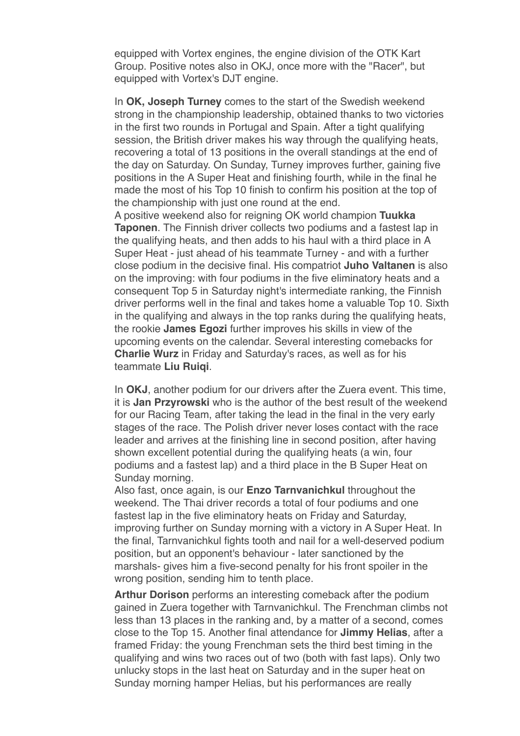equipped with Vortex engines, the engine division of the OTK Kart Group. Positive notes also in OKJ, once more with the "Racer", but equipped with Vortex's DJT engine.

In **OK, Joseph Turney** comes to the start of the Swedish weekend strong in the championship leadership, obtained thanks to two victories in the first two rounds in Portugal and Spain. After a tight qualifying session, the British driver makes his way through the qualifying heats, recovering a total of 13 positions in the overall standings at the end of the day on Saturday. On Sunday, Turney improves further, gaining five positions in the A Super Heat and finishing fourth, while in the final he made the most of his Top 10 finish to confirm his position at the top of the championship with just one round at the end.

A positive weekend also for reigning OK world champion **Tuukka Taponen**. The Finnish driver collects two podiums and a fastest lap in the qualifying heats, and then adds to his haul with a third place in A Super Heat - just ahead of his teammate Turney - and with a further close podium in the decisive final. His compatriot **Juho Valtanen** is also on the improving: with four podiums in the five eliminatory heats and a consequent Top 5 in Saturday night's intermediate ranking, the Finnish driver performs well in the final and takes home a valuable Top 10. Sixth in the qualifying and always in the top ranks during the qualifying heats, the rookie **James Egozi** further improves his skills in view of the upcoming events on the calendar. Several interesting comebacks for **Charlie Wurz** in Friday and Saturday's races, as well as for his teammate **Liu Ruiqi**.

In **OKJ**, another podium for our drivers after the Zuera event. This time, it is **Jan Przyrowski** who is the author of the best result of the weekend for our Racing Team, after taking the lead in the final in the very early stages of the race. The Polish driver never loses contact with the race leader and arrives at the finishing line in second position, after having shown excellent potential during the qualifying heats (a win, four podiums and a fastest lap) and a third place in the B Super Heat on Sunday morning.

Also fast, once again, is our **Enzo Tarnvanichkul** throughout the weekend. The Thai driver records a total of four podiums and one fastest lap in the five eliminatory heats on Friday and Saturday, improving further on Sunday morning with a victory in A Super Heat. In the final, Tarnvanichkul fights tooth and nail for a well-deserved podium position, but an opponent's behaviour - later sanctioned by the marshals- gives him a five-second penalty for his front spoiler in the wrong position, sending him to tenth place.

**Arthur Dorison** performs an interesting comeback after the podium gained in Zuera together with Tarnvanichkul. The Frenchman climbs not less than 13 places in the ranking and, by a matter of a second, comes close to the Top 15. Another final attendance for **Jimmy Helias**, after a framed Friday: the young Frenchman sets the third best timing in the qualifying and wins two races out of two (both with fast laps). Only two unlucky stops in the last heat on Saturday and in the super heat on Sunday morning hamper Helias, but his performances are really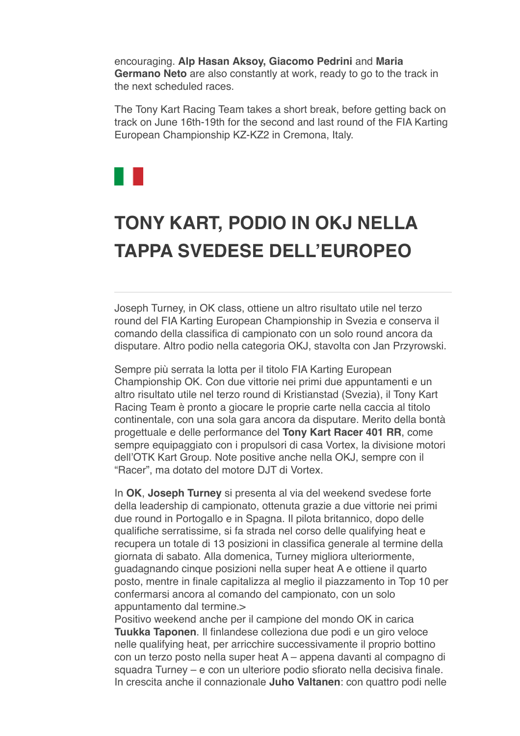encouraging. **Alp Hasan Aksoy, Giacomo Pedrini** and **Maria Germano Neto** are also constantly at work, ready to go to the track in the next scheduled races.

The Tony Kart Racing Team takes a short break, before getting back on track on June 16th-19th for the second and last round of the FIA Karting European Championship KZ-KZ2 in Cremona, Italy.



## **[TONY KART, PODIO IN OKJ NELLA](data:text/html;charset=utf-8;base64,%20PGh0bWwgeG1sbnM9Imh0dHA6Ly93d3cudzMub3JnLzE5OTkveGh0bWwiIGNsYXNzPSJhcHBsZS1tYWlsLWltcGxpY2l0LWRhcmstc3VwcG9ydCIgc3R5bGU9Inpvb206IDE7Ij48aGVhZD48c3R5bGUgdHlwZT0idGV4dC9jc3MiPi8qCiAqICBNVUlXZWJEb2N1bWVudC5jc3MKICogIE1haWwKICoKICogIENvcHlyaWdodCAyMDEyIEFwcGxlIEluYy4gQWxsIHJpZ2h0cyByZXNlcnZlZC4gCiAqLwoKKiB7CiAgICAtd2Via2l0LXVzZXItbW9kaWZ5OiBpbml0aWFsICFpbXBvcnRhbnQ7Cn0KCmh0bWwgewogICAgZm9udDogMTIuMDAwMDAwcHggSGVsdmV0aWNhOwp9Cgpib2R5IHsKICAgIG1hcmdpbjogMThweCAyNXB4IDIycHg7CiAgICBwYWRkaW5nOiAwOwogICAgd29yZC13cmFwOiBicmVhay13b3JkOwogICAgd29yZC1icmVhazogYnJlYWstd29yZDsKIH0KCnRhYmxlIHsKICAgIHdvcmQtYnJlYWs6IG5vcm1hbDsKfQoKLyogQXR0YWNobWVudHMgKi8KCmltZy5BcHBsZS1zbWFsbC1pbWFnZSB7CiAgICB3aWR0aDozMjBweDsKfQoKaW1nLkFwcGxlLW1lZGl1bS1pbWFnZSB7CiAgICB3aWR0aDo2NDBweDsKfQoKaW1nLkFwcGxlLWxhcmdlLWltYWdlIHsKICAgIHdpZHRoOjEyODBweDsKfQoKQC13ZWJraXQta2V5ZnJhbWVzIEFwcGxlLWRpc2NyZXRlLXNwaW5uZXIgewogICAgLyogVGhlc2Uga2V5ZnJhbWVzIHRyeSB0byByZXByb2R1Y2UgdGhlIDE2IGRpc2NyZXRlIHN0ZXBzIHNlZW4gaW4gYSBzdGFuZGFyZCBzeXN0ZW0gcHJvZ3Jlc3MgaW5kaWNhdG9yLiAqLwogICAgMCUgewogICAgICAgIGJhY2tncm91bmQtaW1hZ2U6IHVybCgneC1idW5kbGUtcmVzb3VyY2U6SW5kZXRlcm1pbmF0ZVByb2dyZXNzU3Bpbm5lcjEucGRmJyk7CiAgICB9CiAgICA2LjI1MCUgewogICAgICAgIGJhY2tncm91bmQtaW1hZ2U6IHVybCgneC1idW5kbGUtcmVzb3VyY2U6SW5kZXRlcm1pbmF0ZVByb2dyZXNzU3Bpbm5lcjIucGRmJyk7CiAgICB9CiAgICAxMi41MDAlIHsKICAgICAgICBiYWNrZ3JvdW5kLWltYWdlOiB1cmwoJ3gtYnVuZGxlLXJlc291cmNlOkluZGV0ZXJtaW5hdGVQcm9ncmVzc1NwaW5uZXIzLnBkZicpOwogICAgfQogICAgMTguNzUwJSB7CiAgICAgICAgYmFja2dyb3VuZC1pbWFnZTogdXJsKCd4LWJ1bmRsZS1yZXNvdXJjZTpJbmRldGVybWluYXRlUHJvZ3Jlc3NTcGlubmVyNC5wZGYnKTsKICAgIH0KICAgIDI1LjAwMCUgewogICAgICAgIGJhY2tncm91bmQtaW1hZ2U6IHVybCgneC1idW5kbGUtcmVzb3VyY2U6SW5kZXRlcm1pbmF0ZVByb2dyZXNzU3Bpbm5lcjUucGRmJyk7CiAgICB9CiAgICAzMS4yNTAlIHsKICAgICAgICBiYWNrZ3JvdW5kLWltYWdlOiB1cmwoJ3gtYnVuZGxlLXJlc291cmNlOkluZGV0ZXJtaW5hdGVQcm9ncmVzc1NwaW5uZXI2LnBkZicpOwogICAgfQogICAgMzcuNTAwJSB7CiAgICAgICAgYmFja2dyb3VuZC1pbWFnZTogdXJsKCd4LWJ1bmRsZS1yZXNvdXJjZTpJbmRldGVybWluYXRlUHJvZ3Jlc3NTcGlubmVyNy5wZGYnKTsKICAgIH0KICAgIDQzLjc1MCUgewogICAgICAgIGJhY2tncm91bmQtaW1hZ2U6IHVybCgneC1idW5kbGUtcmVzb3VyY2U6SW5kZXRlcm1pbmF0ZVByb2dyZXNzU3Bpbm5lcjgucGRmJyk7CiAgICB9CiAgICA1MC4wMDAlIHsKICAgICAgICBiYWNrZ3JvdW5kLWltYWdlOiB1cmwoJ3gtYnVuZGxlLXJlc291cmNlOkluZGV0ZXJtaW5hdGVQcm9ncmVzc1NwaW5uZXI5LnBkZicpOwogICAgfQogICAgNTYuMjUwJSB7CiAgICAgICAgYmFja2dyb3VuZC1pbWFnZTogdXJsKCd4LWJ1bmRsZS1yZXNvdXJjZTpJbmRldGVybWluYXRlUHJvZ3Jlc3NTcGlubmVyMTAucGRmJyk7CiAgICB9CiAgICA2Mi41MDAlIHsKICAgICAgICBiYWNrZ3JvdW5kLWltYWdlOiB1cmwoJ3gtYnVuZGxlLXJlc291cmNlOkluZGV0ZXJtaW5hdGVQcm9ncmVzc1NwaW5uZXIxMS5wZGYnKTsKICAgIH0KICAgIDY4Ljc1MCUgewogICAgICAgIGJhY2tncm91bmQtaW1hZ2U6IHVybCgneC1idW5kbGUtcmVzb3VyY2U6SW5kZXRlcm1pbmF0ZVByb2dyZXNzU3Bpbm5lcjEyLnBkZicpOwogICAgfQogICAgNzUuMDAwJSB7CiAgICAgICAgYmFja2dyb3VuZC1pbWFnZTogdXJsKCd4LWJ1bmRsZS1yZXNvdXJjZTpJbmRldGVybWluYXRlUHJvZ3Jlc3NTcGlubmVyMTMucGRmJyk7CiAgICB9CiAgICA4MS4yNTAlIHsKICAgICAgICBiYWNrZ3JvdW5kLWltYWdlOiB1cmwoJ3gtYnVuZGxlLXJlc291cmNlOkluZGV0ZXJtaW5hdGVQcm9ncmVzc1NwaW5uZXIxNC5wZGYnKTsKICAgIH0KICAgIDg3LjUwMCUgewogICAgICAgIGJhY2tncm91bmQtaW1hZ2U6IHVybCgneC1idW5kbGUtcmVzb3VyY2U6SW5kZXRlcm1pbmF0ZVByb2dyZXNzU3Bpbm5lcjE1LnBkZicpOwogICAgfQogICAgOTMuNzUwJSB7CiAgICAgICAgYmFja2dyb3VuZC1pbWFnZTogdXJsKCd4LWJ1bmRsZS1yZXNvdXJjZTpJbmRldGVybWluYXRlUHJvZ3Jlc3NTcGlubmVyMTYucGRmJyk7CiAgICB9CiAgICAxMDAlIHsKICAgICAgICBiYWNrZ3JvdW5kLWltYWdlOiB1cmwoJ3gtYnVuZGxlLXJlc291cmNlOkluZGV0ZXJtaW5hdGVQcm9ncmVzc1NwaW5uZXIxLnBkZicpOwogICAgfQp9CgpkaXYuQXBwbGUtaW5kZXRlcm1pbmF0ZS1wcm9ncmVzcy1zcGlubmVyIHsKICAgIHdpZHRoOiAxNnB4OwogICAgaGVpZ2h0OiAxNnB4OwogICAgYmFja2dyb3VuZC1pbWFnZTogdXJsKCd4LWJ1bmRsZS1yZXNvdXJjZTpJbmRldGVybWluYXRlUHJvZ3Jlc3NTcGlubmVyMS5wZGYnKTsKICAgIGJhY2tncm91bmQtcmVwZWF0OiBuby1yZXBlYXQ7CiAgICBiYWNrZ3JvdW5kLXNpemU6IDEwMCUgMTAwJTsKICAgIC13ZWJraXQtYW5pbWF0aW9uLW5hbWU6IEFwcGxlLWRpc2NyZXRlLXNwaW5uZXI7CiAgICAtd2Via2l0LWFuaW1hdGlvbi1kdXJhdGlvbjogMXM7CiAgICAtd2Via2l0LWFuaW1hdGlvbi1pdGVyYXRpb24tY291bnQ6IGluZmluaXRlOwogICAgLXdlYmtpdC1hbmltYXRpb24tdGltaW5nLWZ1bmN0aW9uOiBzdGVwLXN0YXJ0Owp9CgovKiBMaXN0IFN0eWxlcyAqLwoKdWwuQXBwbGUtZGFzaC1saXN0LCB1bC5BcHBsZS1kYXNoLWxpc3QgdWwgewogICAgbGlzdC1zdHlsZS10eXBlOiBub25lOwp9CiAgICAKdWwuQXBwbGUtZGFzaC1saXN0IGxpOmJlZm9yZSB7CiAgICBjb250ZW50OiAiXDIwMTMiOwogICAgcG9zaXRpb246IGFic29sdXRlOwogICAgbWFyZ2luOiAwIC0xLjI1ZW07Cn0KCi8qIE9yZGVyZWQgTGlzdHM6IFN1cHBvcnQgOSBkZWVwLCBsaWtlIFBhZ2VzLCB0aGVuIGZhbGwgYmFjayB0byBkYXNoZXMgKi8Kb2wsIG9sIG9sIG9sIG9sLCBvbCBvbCBvbCBvbCBvbCBvbCBvbCB7CiAgICBsaXN0LXN0eWxlLXR5cGU6IGRlY2ltYWw7Cn0KCm9sIG9sLCBvbCBvbCBvbCBvbCBvbCwgb2wgb2wgb2wgb2wgb2wgb2wgb2wgb2wgewogICAgbGlzdC1zdHlsZS10eXBlOiBsb3dlci1hbHBoYTsKfQoKb2wgb2wgb2wsIG9sIG9sIG9sIG9sIG9sIG9sLCBvbCBvbCBvbCBvbCBvbCBvbCBvbCBvbCBvbCB7CiAgICBsaXN0LXN0eWxlLXR5cGU6IGxvd2VyLXJvbWFuOwp9CgpvbCBvbCBvbCBvbCBvbCBvbCBvbCBvbCBvbCBvbCB7CiAgICBsaXN0LXN0eWxlLXR5cGU6IG5vbmU7Cn0KCm9sIG9sIG9sIG9sIG9sIG9sIG9sIG9sIG9sIG9sIGxpOmJlZm9yZSB7CiAgICBjb250ZW50OiAiXDIwMTMiOwogICAgcG9zaXRpb246IGFic29sdXRlOwogICAgLXdlYmtpdC1tYXJnaW4tc3RhcnQ6IC0xLjI1ZW07Cn0KCi8qIE1haWwtc3BlY2lmaWMgU3R5bGVzICovCgphLngtYXBwbGUtbWFpbC1zZWUtbW9yZSwgYS54LWFwcGxlLW1haWwtc2VlLW1vcmUtZnJvbSB7CiAgICBmb250LXNpemU6IDEwcHg7CiAgICBmb250LWZhbWlseTogSGVsdmV0aWNhOwogICAgdGV4dC1kZWNvcmF0aW9uOiBub25lOwogICAgY29sb3I6IC1hcHBsZS1zeXN0ZW0tYmx1ZTsKICAgIC1hcHBsZS1jb2xvci1maWx0ZXI6IG5vbmU7Cn0KCmEueC1hcHBsZS1tYWlsLXNlZS1tb3JlIHsKICAgIGZvbnQtc2l6ZTogMTFweDsKICAgIGZvbnQtd2VpZ2h0OiBib2xkOwp9Cgpib2R5LkFwcGxlUGxhaW5UZXh0Qm9keSB7CiAgICAtd2Via2l0LW5ic3AtbW9kZTogc3BhY2U7CiAgICBmb250LXNpemU6IGluaGVyaXRweDsKICAgIGZvbnQtZmFtaWx5OiBpbmhlcml0Owp9Cgpib2R5LlNpbmdsZXRvbiB7CiAgICBtYXJnaW4tbGVmdDogMzZweDsKfQoKLngtYXBwbGUtbWFpbGRyb3BiYW5uZXIgewogICAgZGlzcGxheTogbm9uZTsKfQoKYmxvY2txdW90ZVt0eXBlPWNpdGVdIHsKICAgIHBhZGRpbmctbGVmdDogOHB4OwogICAgbWFyZ2luOiAwOwogICAgYm9yZGVyLWxlZnQtd2lkdGg6IDJweDsKICAgIGJvcmRlci1sZWZ0LXN0eWxlOiBzb2xpZDsKICAgIGJvcmRlci1sZWZ0LWNvbG9yOiByZ2JhKDg4LCA4NiwgMjE0LCAyNTUpOwogICAgY29sb3I6IHJnYmEoODgsIDg2LCAyMTQsIDI1NSk7Cn0KCmJsb2NrcXVvdGVbdHlwZT1jaXRlXSBibG9ja3F1b3RlW3R5cGU9Y2l0ZV0gewogICAgYm9yZGVyLWxlZnQtd2lkdGg6IDJweDsKICAgIGJvcmRlci1sZWZ0LXN0eWxlOiBzb2xpZDsKICAgIGJvcmRlci1sZWZ0LWNvbG9yOiByZ2JhKDAsIDE3NSwgMjA1LCAyNTUpOwogICAgY29sb3I6IHJnYmEoMCwgMTc1LCAyMDUsIDI1NSk7Cn0KCmJsb2NrcXVvdGVbdHlwZT1jaXRlXSBibG9ja3F1b3RlW3R5cGU9Y2l0ZV0gYmxvY2txdW90ZVt0eXBlPWNpdGVdIHsKICAgIGJvcmRlci1sZWZ0LXdpZHRoOiAycHg7CiAgICBib3JkZXItbGVmdC1zdHlsZTogc29saWQ7CiAgICBib3JkZXItbGVmdC1jb2xvcjogcmdiYSgxOCwgMTkyLCAxNCwgMjU1KTsKICAgIGNvbG9yOiByZ2JhKDE4LCAxOTIsIDE0LCAyNTUpOwp9CgppbWcuQXBwbGUtd2ViLWF0dGFjaG1lbnQgewogICAgdmVydGljYWwtYWxpZ246IHRvcCAhaW1wb3J0YW50OwogICAgbWF4LXdpZHRoOiAxMDAlICFpbXBvcnRhbnQ7Cn0KCnZpZGVvLkFwcGxlLXdlYi1hdHRhY2htZW50IHsKICAgIG1heC13aWR0aDogMTAwJSAhaW1wb3J0YW50Owp9CgppbWcuQXBwbGUtZWRnZS10by1lZGdlLXZpc3VhbC1tZWRpYSwgdmlkZW8uQXBwbGUtZWRnZS10by1lZGdlLXZpc3VhbC1tZWRpYSB7CiAgICBkaXNwbGF5OiBibG9jazsKICAgIG1heC13aWR0aDogY2FsYygxMDAlICsgNTBweCkgIWltcG9ydGFudDsKICAgIG1hcmdpbjogMCAtMjVweDsKfQoKaW1nLkFwcGxlLWVkZ2UtdG8tZWRnZS12aXN1YWwtbWVkaWEuU2luZ2xldG9uLCB2aWRlby5BcHBsZS1lZGdlLXRvLWVkZ2UtdmlzdWFsLW1lZGlhLlNpbmdsZXRvbiB7CiAgICBkaXNwbGF5OiBibG9jazsKICAgIG1heC13aWR0aDogY2FsYygxMDAlICsgNjFweCkgIWltcG9ydGFudDsKICAgIG1hcmdpbjogMCAtMjVweCAwIC0zNnB4Owp9CgoKLyogTWVkaWEgUXVlcnkgT3ZlcnJpZGVzIChMZWF2ZSBhdCBib3R0b20pICovCgpAbWVkaWEgc2NyZWVuIGFuZCAocHJlZmVycy1jb2xvci1zY2hlbWU6IGRhcmspIHsKICAgIC8qIEltcGxpY2l0IChjb2xvci1maWx0ZXJlZCkgZGFyayBtb2RlICovCiAgICA6cm9vdC5hcHBsZS1tYWlsLWltcGxpY2l0LWRhcmstc3VwcG9ydCB7CiAgICAgICAgLWFwcGxlLWNvbG9yLWZpbHRlcjogYXBwbGUtaW52ZXJ0LWxpZ2h0bmVzcygpOwogICAgICAgIC0tcXVvdGUtYmFyLWNvbG9yLWxldmVsLTE6IC1hcHBsZS1zeXN0ZW0tcHVycGxlOwogICAgICAgIC0tcXVvdGUtdGV4dC1jb2xvci1sZXZlbC0xOiAtYXBwbGUtc3lzdGVtLXB1cnBsZTsKICAgICAgICAtLXF1b3RlLWJhci1jb2xvci1sZXZlbC0yOiByZ2JhKDAsIDE3NSwgMjA1LCAyNTUpOwogICAgICAgIC0tcXVvdGUtdGV4dC1jb2xvci1sZXZlbC0yOiByZ2JhKDAsIDE3NSwgMjA1LCAyNTUpOwogICAgICAgIC0tcXVvdGUtYmFyLWNvbG9yLWxldmVsLTM6IHJnYmEoMTgsIDE5MiwgMTQsIDI1NSk7CiAgICAgICAgLS1xdW90ZS10ZXh0LWNvbG9yLWxldmVsLTM6IHJnYmEoMTgsIDE5MiwgMTQsIDI1NSk7CiAgICB9CgogICAgLyogRXhwbGljaXQgKGRlY2xhcmVkKSBkYXJrIG1vZGUgKi8KICAgIDpyb290Om5vdCguYXBwbGUtbWFpbC1pbXBsaWNpdC1kYXJrLXN1cHBvcnQpIHsKICAgICAgICAtLXF1b3RlLWJhci1jb2xvci1sZXZlbC0xOiAtYXBwbGUtc3lzdGVtLXB1cnBsZTsKICAgICAgICAtLXF1b3RlLXRleHQtY29sb3ItbGV2ZWwtMTogLWFwcGxlLXN5c3RlbS1wdXJwbGU7CiAgICAgICAgLS1xdW90ZS1iYXItY29sb3ItbGV2ZWwtMjogcmdiYSgwLCAyMDAsIDI1MCwgMjU1KTsKICAgICAgICAtLXF1b3RlLXRleHQtY29sb3ItbGV2ZWwtMjogcmdiYSgwLCAyMDAsIDI1MCwgMjU1KTsKICAgICAgICAtLXF1b3RlLWJhci1jb2xvci1sZXZlbC0zOiByZ2JhKDg3LCAyMTcsIDExOSwgMjU1KTsKICAgICAgICAtLXF1b3RlLXRleHQtY29sb3ItbGV2ZWwtMzogcmdiYSg4NywgMjE3LCAxMTksIDI1NSk7CiAgICB9CgogICAgYmxvY2txdW90ZVt0eXBlPWNpdGVdIHsKICAgICAgICBib3JkZXItbGVmdC1jb2xvcjogdmFyKC0tcXVvdGUtYmFyLWNvbG9yLWxldmVsLTEpOwogICAgICAgIGNvbG9yOiB2YXIoLS1xdW90ZS10ZXh0LWNvbG9yLWxldmVsLTEpOwogICAgfQoKICAgIGJsb2NrcXVvdGVbdHlwZT1jaXRlXSBibG9ja3F1b3RlW3R5cGU9Y2l0ZV0gewogICAgICAgIGJvcmRlci1sZWZ0LWNvbG9yOiB2YXIoLS1xdW90ZS1iYXItY29sb3ItbGV2ZWwtMik7CiAgICAgICAgY29sb3I6IHZhcigtLXF1b3RlLXRleHQtY29sb3ItbGV2ZWwtMik7CiAgICB9CgogICAgYmxvY2txdW90ZVt0eXBlPWNpdGVdIGJsb2NrcXVvdGVbdHlwZT1jaXRlXSBibG9ja3F1b3RlW3R5cGU9Y2l0ZV0gewogICAgICAgIGJvcmRlci1sZWZ0LWNvbG9yOiB2YXIoLS1xdW90ZS1iYXItY29sb3ItbGV2ZWwtMyk7CiAgICAgICAgY29sb3I6IHZhcigtLXF1b3RlLXRleHQtY29sb3ItbGV2ZWwtMyk7CiAgICB9Cn0KCi8qIFByaW50IFN0eWxlcyAqLwoKQG1lZGlhIHByaW50IHsKICAgIGJvZHkgewogICAgICAgIGZvbnQtc2l6ZTogODAlOwogICAgICAgIHBhZGRpbmc6IDA7CiAgICAgICAgbWFyZ2luOiAwOwogICAgfQp9Ci5NYWlsT3V0bGluZSB7IG1hcmdpbi10b3A6MDsgbWFyZ2luLWJvdHRvbTowOyB9Cjwvc3R5bGU+CgkJPG1ldGEgaHR0cC1lcXVpdj0iQ29udGVudC1UeXBlIiBjb250ZW50PSJ0ZXh0L2h0bWw7IGNoYXJzZXQ9dXRmLTgiPgoJCTx0aXRsZT5UT05ZS0FSVDwvdGl0bGU+Cgk8L2hlYWQ+Cgk8Ym9keSBiZ2NvbG9yPSIjZmZmZmZmIiBjbGFzcz0iU2luZ2xldG9uIj4KCQk8c3R5bGU+CgkJCWJvZHkgeyBtYXJnaW46MHB4OyB9CgkJPC9zdHlsZT4KCgkJPHRhYmxlIHdpZHRoPSIxMDAlIiBib3JkZXI9IjAiIGNlbGxzcGFjaW5nPSIwIiBjZWxscGFkZGluZz0iMCIgYmdjb2xvcj0iI2ZmZmZmZiI+CgkJCTx0Ym9keT48dHI+CgkJCQk8dGQgYWxpZ249ImNlbnRlciI+PC90ZD4KCQkJPC90cj4KCQkJPHRyPgoJCQkJPHRkPgoJCQkJCTx0YWJsZSB3aWR0aD0iNjAwIiBib3JkZXI9IjAiIGNlbGxzcGFjaW5nPSIwIiBjZWxscGFkZGluZz0iMCIgYmdjb2xvcj0iI0ZGRkZGRiIgYWxpZ249ImNlbnRlciI+CgkJCQkJCTx0Ym9keT48dHI+CgkJCQkJCQk8dGQgYmdjb2xvcj0iIzAwOGIzNSI+CgkJCQkJCQkJPCEtLSBoZWFkZXIgLS0+CgkJCQkJCQkJPHRhYmxlIGJvcmRlcj0iMCIgd2lkdGg9IjYwMCIgaGVpZ2h0PSI2MCIgY2VsbHNwYWNpbmc9IjAiIGNlbGxwYWRkaW5nPSIwIiBhbGlnbj0iY2VudGVyIj4KCQkJCQkJCQkJPHRib2R5Pjx0cj4KCQkJCQkJCQkJCTx0ZCB2YWxpZ249InRvcCI+CgkJCQkJCQkJCQkJPHRhYmxlIGJvcmRlcj0iMCIgY2VsbHBhZGRpbmc9IjAiIGNlbGxzcGFjaW5nPSIwIiBhbGlnbj0iY2VudGVyIiB3aWR0aD0iNjAwIiBiYWNrZ3JvdW5kPSIjMDA4ZDM2Ij4KCQkJCQkJCQkJCQkJPHRib2R5Pjx0cj4KCQkJCQkJCQkJCQkJCTx0ZCB2YWxpZ249Im1pZGRsZSIgc3R5bGU9InBhZGRpbmctbGVmdDoyMHB4Ij4KCQkJCQkJCQkJCQkJCQk8YSBocmVmPSIjIj48aW1nIHNyYz0iaHR0cDovL25ld3NsZXR0ZXIudG9ueWthcnQuY29tL2ltYWdlcy90b255a2FydC9sb2dvLnBuZyIgd2lkdGg9IjExMSIgaGVpZ2h0PSI2OCIgYWx0PSIiIGJvcmRlcj0iMCI+PC9hPgoJCQkJCQkJCQkJCQkJPC90ZD4KCQkJCQkJCQkJCQkJCTx0ZCB2YWxpZ249Im1pZGRsZSI+CgkJCQkJCQkJCQkJCQkJPHRhYmxlIGJvcmRlcj0iMCIgYmdjb2xvcj0iIzAwOGIzNSIgY2VsbHBhZGRpbmc9IjAiIGNlbGxzcGFjaW5nPSIwIiBhbGlnbj0icmlnaHQiPgoJCQkJCQkJCQkJCQkJCQk8dGJvZHk+PHRyPgoJCQkJCQkJCQkJCQkJCQkJPHRkIGNsYXNzPSJjZW50ZXIiIHN0eWxlPSJmb250LXNpemU6IDEzcHg7IGNvbG9yOiAjMjcyNzI3OyBmb250LXdlaWdodDogbGlnaHQ7IHRleHQtYWxpZ246IHJpZ2h0OyBmb250LWZhbWlseTogJ09wZW4gU2FucycsIEhlbHZldGljYSwgQXJpYWwsIHNhbnMtc2VyaWY7IGxpbmUtaGVpZ2h0OiAyMHB4OyB2ZXJ0aWNhbC1hbGlnbjogbWlkZGxlOyBwYWRkaW5nOjZweCAyMHB4IDBweCAyMHB4OyBmb250LXN0eWxlOml0YWxpYyI+CgkJCQkJCQkJCQkJCQkJCQkJPGEgaHJlZj0iaHR0cHM6Ly93d3cuZmFjZWJvb2suY29tL3Rvbnkua2FydC5vZmZpY2lhbC8/ZnJlZj10cyI+PGltZyBzcmM9Imh0dHA6Ly9uZXdzbGV0dGVyLnRvbnlrYXJ0LmNvbS9pbWFnZXMvdG9ueWthcnQvc29jaWFsX2ZhY2Vib29rLnBuZyIgYm9yZGVyPSIwIiBhbHQ9IiI+PC9hPgoJCQkJCQkJCQkJCQkJCQkJCTwhLS0gICAmbmJzcDsmbmJzcDsmbmJzcDsKCQkJCQkJCQkJCQkJCQkJCQk8YSBocmVmPSIjIj48aW1nIHNyYz0iaHR0cDovL25ld3NsZXR0ZXIudG9ueWthcnQuY29tL2ltYWdlcy90b255a2FydC9zb2NpYWxfdHdpdHRlci5wbmciIGJvcmRlcj0iMCIgYWx0PSIiPjwvYT4gLS0+CgkJCQkJCQkJCQkJCQkJCQkJJm5ic3A7Jm5ic3A7Jm5ic3A7CgkJCQkJCQkJCQkJCQkJCQkJPGEgaHJlZj0iaHR0cHM6Ly93d3cuaW5zdGFncmFtLmNvbS90b255a2FydG9mZmljaWFsLyAiPjxpbWcgc3JjPSJodHRwOi8vbmV3c2xldHRlci50b255a2FydC5jb20vaW1hZ2VzL3RvbnlrYXJ0L3NvY2lhbF9pbnN0YWdyYW0ucG5nIiBib3JkZXI9IjAiIGFsdD0iIj48L2E+CgkJCQkJCQkJCQkJCQkJCQkJJm5ic3A7Jm5ic3A7Jm5ic3A7CgkJCQkJCQkJCQkJCQkJCQkJPGEgaHJlZj0iaHR0cHM6Ly93d3cueW91dHViZS5jb20vY2hhbm5lbC9VQ2JILURnMlFKRlV3aGJBWG5qN1hGVnciPjxpbWcgc3JjPSJodHRwOi8vbmV3c2xldHRlci50b255a2FydC5jb20vaW1hZ2VzL3RvbnlrYXJ0L3NvY2lhbF95b3V0dWJlLnBuZyIgYm9yZGVyPSIwIiBhbHQ9IiI+PC9hPgoKCQkJCQkJCQkJCQkJCQkJCTwvdGQ+CgkJCQkJCQkJCQkJCQkJCTwvdHI+CgkJCQkJCQkJCQkJCQkJPC90Ym9keT48L3RhYmxlPgoJCQkJCQkJCQkJCQkJPC90ZD4KCQkJCQkJCQkJCQkJPC90cj4KCQkJCQkJCQkJCQk8L3Rib2R5PjwvdGFibGU+CgkJCQkJCQkJCQk8L3RkPgoJCQkJCQkJCQk8L3RyPgoJCQkJCQkJCQk8dHI+CgkJCQkJCQkJCQk8dGQgdmFsaWduPSJ0b3AiPgoJCQkJCQkJCQkJCTxpbWcgc3JjPSJodHRwOi8vbmV3c2xldHRlci50b255a2FydC5jb20vYWxsZWdhdGlfdGVtcGxhdGUvMjAyMi8yMDIyMDYwOC0xNDA3NDkxL3Rlc3RhdGEuanBlZyIgYWx0PSIiIHdpZHRoPSI2MDIiIGhlaWdodD0iMjUyIiBzdHlsZT0id2lkdGg6NjAycHg7IGhlaWdodDoyNTJweDsiPgoJCQkJCQkJCQkJPC90ZD4KCQkJCQkJCQkJPC90cj4KCQkJCQkJCQk8L3Rib2R5PjwvdGFibGU+CgkJCQkJCQkJPCEtLSAuaGVhZGVyIC0tPgoJCQkJCQkJPC90ZD4KCQkJCQkJPC90cj4KCQkJCQkJPHRyPgoJCQkJCQkJPHRkPgoJCQkJCQkJCTx0YWJsZSB3aWR0aD0iMTAwJSIgYm9yZGVyPSIwIiBjZWxsc3BhY2luZz0iMCIgY2VsbHBhZGRpbmc9IjAiPgoJCQkJCQkJCQk8dGJvZHk+PHRyPgoJCQkJCQkJCQkJPHRkIHdpZHRoPSIxMCUiPiZuYnNwOzwvdGQ+CgkJCQkJCQkJCQk8dGQgd2lkdGg9IjgwJSIgYWxpZ249ImxlZnQiIHZhbGlnbj0idG9wIj4KCQkJCQkJCQkJCQk8dGFibGUgd2lkdGg9IjEwMCUiIGJvcmRlcj0iMCIgY2VsbHNwYWNpbmc9IjAiIGNlbGxwYWRkaW5nPSIwIj4KCQkJCQkJCQkJCQkJPHRib2R5Pjx0cj48dGQ+Jm5ic3A7PC90ZD48L3RyPgoJCQkJCQkJCQkJCQk8dHI+CgkJCQkJCQkJCQkJCQk8dGQgYWxpZ249ImxlZnQiIHZhbGlnbj0idG9wIj4KCQkJCQkJCQkJCQkJCQk8dGFibGUgd2lkdGg9IjEwMCUiIGJvcmRlcj0iMCIgY2VsbHNwYWNpbmc9IjAiIGNlbGxwYWRkaW5nPSIwIj4KCQkJCQkJCQkJCQkJCQk8dGJvZHk+PHRyPgoJCQkJCQkJCQkJCQkJCQk8dGQgaGVpZ2h0PSIzNSIgYWxpZ249ImxlZnQiIHZhbGlnbj0ibWlkZGxlIj4KCQkJCQkJCQkJCQkJCQkJCTx0YWJsZSBib3JkZXI9IjAiIHdpZHRoPSIxMDAlIiBjZWxscGFkZGluZz0iMCIgY2VsbHNwYWNpbmc9IjAiPgoJCQkJCQkJCQkJCQkJCQkJPHRib2R5Pjx0cj4KCQkJCQkJCQkJCQkJCQkJCTx0ZCB3aWR0aD0iODAiIGFsaWduPSJsZWZ0IiB2YWxpZ249Im1pZGRsZSIgc3R5bGU9InBhZGRpbmctdG9wOjEwcHg7IHBhZGRpbmctYm90dG9tOiAxMHB4OyBib3JkZXItYm90dG9tOiA5cHggc29saWQgIzAwOGIzNSI+PGZvbnQgc3R5bGU9InRleHQtZGVjb3JhdGlvbjogbm9uZTsgZm9udC1zaXplOiAxNXB4OyBjb2xvcjogIzNhM2EzYTsgZm9udC1mYW1pbHk6J09wZW4gU2FucycsIEhlbHZldGljYSwgQXJpYWwsIHNhbnMtc2VyaWY7Ij4wOC8wNi8yMDIyPC9mb250PgoJCQkJCQkJCQkJCQkJCQkJPC90ZD4KCQkJCQkJCQkJCQkJCQkJCTx0ZCBhbGlnbj0icmlnaHQiIHZhbGlnbj0ibWlkZGxlIj4mbmJzcDs8L3RkPgoJCQkJCQkJCQkJCQkJCQkJPC90cj4KCQkJCQkJCQkJCQkJCQkJCTwvdGJvZHk+PC90YWJsZT4KCQkJCQkJCQkJCQkJCQkJPC90ZD4KCQkJCQkJCQkJCQkJCQk8L3RyPgoJCQkJCQkJCQkJCQkJCTx0cj48dGQ+Jm5ic3A7PC90ZD48L3RyPgoJCQkJCQkJCQkJCQkJCTwhLS0gSU5HTEVTRSAtLT4KCQkJCQkJCQkJCQkJCQkJCQkJCQkJCQkJCQkJCTwhLS0gQmFuZGllcmEgRU5HIC0tPgoJCQkJCQkJCQkJCQkJCTx0cj4KCQkJCQkJCQkJCQkJCQkJPHRkIGhlaWdodD0iNDAiIGFsaWduPSJsZWZ0IiB2YWxpZ249Im1pZGRsZSIgc3R5bGU9InBhZGRpbmctdG9wOjEwcHg7IHBhZGRpbmctYm90dG9tOjEwcHg7Ij4KCQkJCQkJCQkJCQkJCQkJPCEtLSBoZWFkbGluZSAtLT4KCQkJCQkJCQkJCQkJCQkJCTxpbWcgc3JjPSJodHRwOi8vbmV3c2xldHRlci50b255a2FydC5jb20vaW1hZ2VzL3RvbnlrYXJ0L2ZsYWctZW4uZ2lmIiBhbHQ9IiI+PGJyPjxicj4KCgkJCQkJCQkJCQkJCQkJCTwvdGQ+CgkJCQkJCQkJCQkJCQkJPC90cj4KCQkJCQkJCQkJCQkJCQk8IS0tIFRpdGxlIEVORyAtLT4KCQkJCQkJCQkJCQkJCQk8dHI+CgkJCQkJCQkJCQkJCQkJCTx0ZCBoZWlnaHQ9IjQwIiBhbGlnbj0ibGVmdCIgdmFsaWduPSJtaWRkbGUiIHN0eWxlPSJwYWRkaW5nLXRvcDoxMHB4OyBwYWRkaW5nLWJvdHRvbToxMHB4OyI+CgkJCQkJCQkJCQkJCQkJCQk8IS0tIGhlYWRsaW5lIC0tPgoJCQkJCQkJCQkJCQkJCQkJPGEgaHJlZj0iIyIgc3R5bGU9InRleHQtZGVjb3JhdGlvbjogbm9uZTsiPjxmb250IHN0eWxlPSJsaW5lLWhlaWdodDogNDBweDsgZm9udC1zaXplOiAyNnB4OyBjb2xvcjogIzNhM2EzYTsgZm9udC13ZWlnaHQ6IGJvbGQ7IGZvbnQtZmFtaWx5OidPcGVuIFNhbnMnLCBIZWx2ZXRpY2EsIEFyaWFsLCBzYW5zLXNlcmlmOyI+VE9OWSBLQVJULCBQT0RJVU0gSU4gT0tKIE9OIFRIRSBTV0VESVNIIFJPVU5EIE9GIFRIRSBFVVJPUEVBTiBDSEFNUDwvZm9udD48L2E+CgoJCQkJCQkJCQkJCQkJCQk8L3RkPgoJCQkJCQkJCQkJCQkJCTwvdHI+CgkJCQkJCQkJCQkJCQkJPCEtLSBCb2R5IEVORyAtLT4KCQkJCQkJCQkJCQkJCQk8dHI+CgkJCQkJCQkJCQkJCQkJCTx0ZCBhbGlnbj0ibGVmdCIgdmFsaWduPSJ0b3AiPgoJCQkJCQkJCQkJCQkJCQk8dGFibGUgd2lkdGg9IjEwMCUiIGJvcmRlcj0iMCIgY2VsbHBhZGRpbmc9IjAiIGNlbGxzcGFjaW5nPSIwIj4KCQkJCQkJCQkJCQkJCQkJCTx0Ym9keT48dHI+PHRkPiZuYnNwOzwvdGQ+PC90cj4KCQkJCQkJCQkJCQkJCQkJCTx0cj4KCQkJCQkJCQkJCQkJCQkJCQk8dGQgdmFsaWduPSJ0b3AiPgoJCQkJCQkJCQkJCQkJCQkJCQk8cCBzdHlsZT0ibXNvLXRhYmxlLWxzcGFjZTowO21zby10YWJsZS1yc3BhY2U6MDsgbWFyZ2luOjAiPgoJCQkJCQkJCQkJCQkJCQkJCQk8Zm9udCBzdHlsZT0iZm9udC13ZWlnaHQ6IDIwMDsgZm9udC1zaXplOiAyNHB4OyBsaW5lLWhlaWdodDozMnB4OyB0ZXh0LWFsaWduOiBsZWZ0OyBmb250LWZhbWlseTogJ09wZW4gU2FucyBMaWdodCcsIEhlbHZldGljYSwgQXJpYWwsIHNhbnMtc2VyaWY7IGNvbG9yOiMwMDhiMzUiPgoJCQkJCQkJCQkJCQkJCQkJCQkJCQkJCQkJCQkJCQkJCQkJCQk8L2ZvbnQ+PC9wPgoJCQkJCQkJCQkJCQkJCQkJCTwvdGQ+CgkJCQkJCQkJCQkJCQkJCQk8L3RyPgoJCQkJCQkJCQkJCQkJCQkJPHRyPgoJCQkJCQkJCQkJCQkJCQkJCTx0ZCB2YWxpZ249Im1pZGRsZSIgc3R5bGU9ImJvcmRlci1ib3R0b206MXB4IHNvbGlkICNjOWM5Yzk7Ij4mbmJzcDs8L3RkPgoJCQkJCQkJCQkJCQkJCQkJPC90cj4KCQkJCQkJCQkJCQkJCQkJCTx0cj48dGQgdmFsaWduPSJtaWRkbGUiPiZuYnNwOzwvdGQ+PC90cj4KCQkJCQkJCQkJCQkJCQkJCTx0cj4KCQkJCQkJCQkJCQkJCQkJCQk8dGQgdmFsaWduPSJ0b3AiPgoJCQkJCQkJCQkJCQkJCQkJCQk8cCBzdHlsZT0ibXNvLXRhYmxlLWxzcGFjZTowO21zby10YWJsZS1yc3BhY2U6MDsgbWFyZ2luOjAiPjxmb250IHN0eWxlPSJmb250LXNpemU6IDE1cHg7IGxpbmUtaGVpZ2h0OjE4cHg7IHRleHQtYWxpZ246IGxlZnQ7IGZvbnQtZmFtaWx5OiAnT3BlbiBTYW5zIExpZ2h0JywgSGVsdmV0aWNhLCBBcmlhbCwgc2Fucy1zZXJpZjsgY29sb3I6IzQzNDM0MyI+CgkJCQkJCQkJCQkJCQkJCQkJCTwvZm9udD48L3A+PHA+PGZvbnQgc3R5bGU9ImZvbnQtc2l6ZTogMTVweDsgbGluZS1oZWlnaHQ6MThweDsgdGV4dC1hbGlnbjogbGVmdDsgZm9udC1mYW1pbHk6ICdPcGVuIFNhbnMgTGlnaHQnLCBIZWx2ZXRpY2EsIEFyaWFsLCBzYW5zLXNlcmlmOyBjb2xvcjojNDM0MzQzIj5Kb3NlcGggVHVybmV5LCBpbiBPSywgYWNoaWV2ZXMgYW5vdGhlciB1c2VmdWwgcmVzdWx0IG9uIHRoZSBvY2Nhc2lvbiBvZiB0aGUgdGhpcmQgcm91bmQgb2YgdGhlIEZJQSBLYXJ0aW5nIEV1cm9wZWFuIENoYW1waW9uc2hpcCBpbiBTd2VkZW4gdGh1cyBrZWVwaW5nIHRoZSBsZWFkIGluIHRoZSBjaGFtcGlvbnNoaXAgc3RhbmRpbmdzIHdpdGggb25lIHJvdW5kIGF0IHRoZSBlbmQuIEFub3RoZXIgcG9kaXVtIGluIHRoZSBPS0ogY2F0ZWdvcnksIHRoaXMgdGltZSB3aXRoIEphbiBQcnp5cm93c2tpLjwvZm9udD48L3A+PGZvbnQgc3R5bGU9ImZvbnQtc2l6ZTogMTVweDsgbGluZS1oZWlnaHQ6MThweDsgdGV4dC1hbGlnbjogbGVmdDsgZm9udC1mYW1pbHk6ICdPcGVuIFNhbnMgTGlnaHQnLCBIZWx2ZXRpY2EsIEFyaWFsLCBzYW5zLXNlcmlmOyBjb2xvcjojNDM0MzQzIj4KPHA+VGhlIGZpZ2h0IGZvciB0aGUgRklBIEthcnRpbmcgRXVyb3BlYW4gQ2hhbXBpb25zaGlwIE9LIHRpdGxlIGlzIGdldHRpbmcgdG91Z2hlciBhbmQgdG91Z2hlci4gV2l0aCB0d28gdmljdG9yaWVzIGluIHRoZSBmaXJzdCB0d28gcm91bmRzIGFuZCBhbm90aGVyIHVzZWZ1bCByZXN1bHQgaW4gdGhlIHRoaXJkIHJvdW5kIG9mIHRoZSBLcmlzdGlhbnN0YWQgKFN3ZWRlbikgcmFjZSwgdGhlIFRvbnkgS2FydCBSYWNpbmcgVGVhbSBpcyByZWFkeSB0byBwbGF5IGl0cyBjYXJkcyBpbiB0aGUgZmlnaHQgZm9yIHRoZSBjb250aW5lbnRhbCB0aXRsZSwgd2l0aCBvbmx5IG9uZSByYWNlIHN0aWxsIHRvIGJlIHJ1bi4gVGhhbmtzIHRvIHRoZSBnb29kIGRlc2lnbiBhbmQgcGVyZm9ybWFuY2Ugb2YgdGhlIDxzdHJvbmc+VG9ueSBLYXJ0IFJhY2VyIDQwMSBSUjwvc3Ryb25nPiwgYXMgYWx3YXlzIGVxdWlwcGVkIHdpdGggVm9ydGV4IGVuZ2luZXMsIHRoZSBlbmdpbmUgZGl2aXNpb24gb2YgdGhlIE9USyBLYXJ0IEdyb3VwLiBQb3NpdGl2ZSBub3RlcyBhbHNvIGluIE9LSiwgb25jZSBtb3JlIHdpdGggdGhlICJSYWNlciIsIGJ1dCBlcXVpcHBlZCB3aXRoIFZvcnRleCdzIERKVCBlbmdpbmUuPC9wPgo8cD5JbiA8c3Ryb25nPk9LLCBKb3NlcGggVHVybmV5PC9zdHJvbmc+IGNvbWVzIHRvIHRoZSBzdGFydCBvZiB0aGUgU3dlZGlzaCB3ZWVrZW5kIHN0cm9uZyBpbiB0aGUgY2hhbXBpb25zaGlwIGxlYWRlcnNoaXAsIG9idGFpbmVkIHRoYW5rcyB0byB0d28gdmljdG9yaWVzIGluIHRoZSBmaXJzdCB0d28gcm91bmRzIGluIFBvcnR1Z2FsIGFuZCBTcGFpbi4gQWZ0ZXIgYSB0aWdodCBxdWFsaWZ5aW5nIHNlc3Npb24sIHRoZSBCcml0aXNoIGRyaXZlciBtYWtlcyBoaXMgd2F5IHRocm91Z2ggdGhlIHF1YWxpZnlpbmcgaGVhdHMsIHJlY292ZXJpbmcgYSB0b3RhbCBvZiAxMyBwb3NpdGlvbnMgaW4gdGhlIG92ZXJhbGwgc3RhbmRpbmdzIGF0IHRoZSBlbmQgb2YgdGhlIGRheSBvbiBTYXR1cmRheS4gT24gU3VuZGF5LCBUdXJuZXkgaW1wcm92ZXMgZnVydGhlciwgZ2FpbmluZyBmaXZlIHBvc2l0aW9ucyBpbiB0aGUgQSBTdXBlciBIZWF0IGFuZCBmaW5pc2hpbmcgZm91cnRoLCB3aGlsZSBpbiB0aGUgZmluYWwgaGUgbWFkZSB0aGUgbW9zdCBvZiBoaXMgVG9wIDEwIGZpbmlzaCB0byBjb25maXJtIGhpcyBwb3NpdGlvbiBhdCB0aGUgdG9wIG9mIHRoZSBjaGFtcGlvbnNoaXAgd2l0aCBqdXN0IG9uZSByb3VuZCBhdCB0aGUgZW5kLjxicj4gQSBwb3NpdGl2ZSB3ZWVrZW5kIGFsc28gZm9yIHJlaWduaW5nIE9LIHdvcmxkIGNoYW1waW9uIDxzdHJvbmc+VHV1a2thIFRhcG9uZW48L3N0cm9uZz4uIFRoZSBGaW5uaXNoIGRyaXZlciBjb2xsZWN0cyB0d28gcG9kaXVtcyBhbmQgYSBmYXN0ZXN0IGxhcCBpbiB0aGUgcXVhbGlmeWluZyBoZWF0cywgYW5kIHRoZW4gYWRkcyB0byBoaXMgaGF1bCB3aXRoIGEgdGhpcmQgcGxhY2UgaW4gQSBTdXBlciBIZWF0IC0ganVzdCBhaGVhZCBvZiBoaXMgdGVhbW1hdGUgVHVybmV5IC0gYW5kIHdpdGggYSBmdXJ0aGVyIGNsb3NlIHBvZGl1bSBpbiB0aGUgZGVjaXNpdmUgZmluYWwuIEhpcyBjb21wYXRyaW90IDxzdHJvbmc+SnVobyBWYWx0YW5lbjwvc3Ryb25nPiBpcyBhbHNvIG9uIHRoZSBpbXByb3Zpbmc6IHdpdGggZm91ciBwb2RpdW1zIGluIHRoZSBmaXZlIGVsaW1pbmF0b3J5IGhlYXRzIGFuZCBhIGNvbnNlcXVlbnQgVG9wIDUgaW4gU2F0dXJkYXkgbmlnaHQncyBpbnRlcm1lZGlhdGUgcmFua2luZywgdGhlIEZpbm5pc2ggZHJpdmVyIHBlcmZvcm1zIHdlbGwgaW4gdGhlIGZpbmFsIGFuZCB0YWtlcyBob21lIGEgdmFsdWFibGUgVG9wIDEwLiBTaXh0aCBpbiB0aGUgcXVhbGlmeWluZyBhbmQgYWx3YXlzIGluIHRoZSB0b3AgcmFua3MgZHVyaW5nIHRoZSBxdWFsaWZ5aW5nIGhlYXRzLCB0aGUgcm9va2llIDxzdHJvbmc+SmFtZXMgRWdvemk8L3N0cm9uZz4gZnVydGhlciBpbXByb3ZlcyBoaXMgc2tpbGxzIGluIHZpZXcgb2YgdGhlIHVwY29taW5nIGV2ZW50cyBvbiB0aGUgY2FsZW5kYXIuIFNldmVyYWwgaW50ZXJlc3RpbmcgY29tZWJhY2tzIGZvciA8c3Ryb25nPkNoYXJsaWUgV3Vyejwvc3Ryb25nPiBpbiBGcmlkYXkgYW5kIFNhdHVyZGF5J3MgcmFjZXMsIGFzIHdlbGwgYXMgZm9yIGhpcyB0ZWFtbWF0ZSA8c3Ryb25nPkxpdSBSdWlxaTwvc3Ryb25nPi48L3A+CjxwPkluIDxzdHJvbmc+T0tKPC9zdHJvbmc+LCBhbm90aGVyIHBvZGl1bSBmb3Igb3VyIGRyaXZlcnMgYWZ0ZXIgdGhlIFp1ZXJhIGV2ZW50LiBUaGlzIHRpbWUsIGl0IGlzIDxzdHJvbmc+SmFuIFByenlyb3dza2k8L3N0cm9uZz4gd2hvIGlzIHRoZSBhdXRob3Igb2YgdGhlIGJlc3QgcmVzdWx0IG9mIHRoZSB3ZWVrZW5kIGZvciBvdXIgUmFjaW5nIFRlYW0sIGFmdGVyIHRha2luZyB0aGUgbGVhZCBpbiB0aGUgZmluYWwgaW4gdGhlIHZlcnkgZWFybHkgc3RhZ2VzIG9mIHRoZSByYWNlLiBUaGUgUG9saXNoIGRyaXZlciBuZXZlciBsb3NlcyBjb250YWN0IHdpdGggdGhlIHJhY2UgbGVhZGVyIGFuZCBhcnJpdmVzIGF0IHRoZSBmaW5pc2hpbmcgbGluZSBpbiBzZWNvbmQgcG9zaXRpb24sIGFmdGVyIGhhdmluZyBzaG93biBleGNlbGxlbnQgcG90ZW50aWFsIGR1cmluZyB0aGUgcXVhbGlmeWluZyBoZWF0cyAoYSB3aW4sIGZvdXIgcG9kaXVtcyBhbmQgYSBmYXN0ZXN0IGxhcCkgYW5kIGEgdGhpcmQgcGxhY2UgaW4gdGhlIEIgU3VwZXIgSGVhdCBvbiBTdW5kYXkgbW9ybmluZy48YnI+IEFsc28gZmFzdCwgb25jZSBhZ2FpbiwgaXMgb3VyIDxzdHJvbmc+RW56byBUYXJudmFuaWNoa3VsPC9zdHJvbmc+IHRocm91Z2hvdXQgdGhlIHdlZWtlbmQuIFRoZSBUaGFpIGRyaXZlciByZWNvcmRzIGEgdG90YWwgb2YgZm91ciBwb2RpdW1zIGFuZCBvbmUgZmFzdGVzdCBsYXAgaW4gdGhlIGZpdmUgZWxpbWluYXRvcnkgaGVhdHMgb24gRnJpZGF5IGFuZCBTYXR1cmRheSwgaW1wcm92aW5nIGZ1cnRoZXIgb24gU3VuZGF5IG1vcm5pbmcgd2l0aCBhIHZpY3RvcnkgaW4gQSBTdXBlciBIZWF0LiBJbiB0aGUgZmluYWwsIFRhcm52YW5pY2hrdWwgZmlnaHRzIHRvb3RoIGFuZCBuYWlsIGZvciBhIHdlbGwtZGVzZXJ2ZWQgcG9kaXVtIHBvc2l0aW9uLCBidXQgYW4gb3Bwb25lbnQncyBiZWhhdmlvdXIgLSBsYXRlciBzYW5jdGlvbmVkIGJ5IHRoZSBtYXJzaGFscy0gZ2l2ZXMgaGltIGEgZml2ZS1zZWNvbmQgcGVuYWx0eSBmb3IgaGlzIGZyb250IHNwb2lsZXIgaW4gdGhlIHdyb25nIHBvc2l0aW9uLCBzZW5kaW5nIGhpbSB0byB0ZW50aCBwbGFjZS48L3A+CjxwPjxzdHJvbmc+QXJ0aHVyIERvcmlzb248L3N0cm9uZz4gcGVyZm9ybXMgYW4gaW50ZXJlc3RpbmcgY29tZWJhY2sgYWZ0ZXIgdGhlIHBvZGl1bSBnYWluZWQgaW4gWnVlcmEgdG9nZXRoZXIgd2l0aCBUYXJudmFuaWNoa3VsLiBUaGUgRnJlbmNobWFuIGNsaW1icyBub3QgbGVzcyB0aGFuIDEzIHBsYWNlcyBpbiB0aGUgcmFua2luZyBhbmQsIGJ5IGEgbWF0dGVyIG9mIGEgc2Vjb25kLCBjb21lcyBjbG9zZSB0byB0aGUgVG9wIDE1LiBBbm90aGVyIGZpbmFsIGF0dGVuZGFuY2UgZm9yIDxzdHJvbmc+SmltbXkgSGVsaWFzPC9zdHJvbmc+LCBhZnRlciBhIGZyYW1lZCBGcmlkYXk6IHRoZSB5b3VuZyBGcmVuY2htYW4gc2V0cyB0aGUgdGhpcmQgYmVzdCB0aW1pbmcgaW4gdGhlIHF1YWxpZnlpbmcgYW5kIHdpbnMgdHdvIHJhY2VzIG91dCBvZiB0d28gKGJvdGggd2l0aCBmYXN0IGxhcHMpLiBPbmx5IHR3byB1bmx1Y2t5IHN0b3BzIGluIHRoZSBsYXN0IGhlYXQgb24gU2F0dXJkYXkgYW5kIGluIHRoZSBzdXBlciBoZWF0IG9uIFN1bmRheSBtb3JuaW5nIGhhbXBlciBIZWxpYXMsIGJ1dCBoaXMgcGVyZm9ybWFuY2VzIGFyZSByZWFsbHkgZW5jb3VyYWdpbmcuIDxzdHJvbmc+QWxwIEhhc2FuIEFrc295LCBHaWFjb21vIFBlZHJpbmk8L3N0cm9uZz4gYW5kIDxzdHJvbmc+TWFyaWEgR2VybWFubyBOZXRvIDwvc3Ryb25nPmFyZSBhbHNvIGNvbnN0YW50bHkgYXQgd29yaywgcmVhZHkgdG8gZ28gdG8gdGhlIHRyYWNrIGluIHRoZSBuZXh0IHNjaGVkdWxlZCByYWNlcy48L3A+CjxwPlRoZSBUb255IEthcnQgUmFjaW5nIFRlYW0gdGFrZXMgYSBzaG9ydCBicmVhaywgYmVmb3JlIGdldHRpbmcgYmFjayBvbiB0cmFjayBvbiBKdW5lIDE2dGgtMTl0aCBmb3IgdGhlIHNlY29uZCBhbmQgbGFzdCByb3VuZCBvZiB0aGUgRklBIEthcnRpbmcgRXVyb3BlYW4gQ2hhbXBpb25zaGlwIEtaLUtaMiBpbiBDcmVtb25hLCBJdGFseS48L3A+CQkJCQkJCQkJCQkJCQkJCQkJPC9mb250PjxwPjwvcD4KCQkJCQkJCQkJCQkJCQkJCQk8L3RkPgoJCQkJCQkJCQkJCQkJCQkJPC90cj4KCQkJCQkJCQkJCQkJCQkJCTx0cj48dGQ+Jm5ic3A7PC90ZD48L3RyPgoJCQkJCQkJCQkJCQkJCQkJPHRyPjx0ZD4mbmJzcDs8L3RkPjwvdHI+CgoJCQkJCQkJCQkJCQkJCQk8L3Rib2R5PjwvdGFibGU+CgkJCQkJCQkJCQkJCQkJCTwvdGQ+CgkJCQkJCQkJCQkJCQkJPC90cj4KCQkJCQkJCQkJCQkJCQkKCQkJCQkJCQkJCQkJCQkJPCEtLSBJVEFMSUFOTyAtLT4KCQkJCQkJCQkJCQkJCQkJPCEtLSBCYW5kaWVyYSBJVEEgLS0+CgkJCQkJCQkJCQkJCQkJCTx0cj4KCQkJCQkJCQkJCQkJCQkJCTx0ZCBoZWlnaHQ9IjQwIiBhbGlnbj0ibGVmdCIgdmFsaWduPSJtaWRkbGUiIHN0eWxlPSJwYWRkaW5nLXRvcDoxMHB4OyBwYWRkaW5nLWJvdHRvbToxMHB4OyI+CgkJCQkJCQkJCQkJCQkJCQk8IS0tIGhlYWRsaW5lIC0tPgoJCQkJCQkJCQkJCQkJCQkJCTxpbWcgc3JjPSJodHRwOi8vbmV3c2xldHRlci50b255a2FydC5jb20vaW1hZ2VzL3RvbnlrYXJ0L2ZsYWctaXQuZ2lmIiBhbHQ9IiI+PGJyPjxicj4KCgkJCQkJCQkJCQkJCQkJCQk8L3RkPgoJCQkJCQkJCQkJCQkJCQk8L3RyPgoJCQkJCQkJCQkJCQkJCQk8IS0tIFRpdGxlIElUQSAtLT4KCQkJCQkJCQkJCQkJCQkJPHRyPgoJCQkJCQkJCQkJCQkJCQkJPHRkIGhlaWdodD0iNDAiIGFsaWduPSJsZWZ0IiB2YWxpZ249Im1pZGRsZSIgc3R5bGU9InBhZGRpbmctdG9wOjEwcHg7IHBhZGRpbmctYm90dG9tOjEwcHg7Ij4KCQkJCQkJCQkJCQkJCQkJCTwhLS0gaGVhZGxpbmUgLS0+CgkJCQkJCQkJCQkJCQkJCQkJPGEgaHJlZj0iIyIgc3R5bGU9InRleHQtZGVjb3JhdGlvbjogbm9uZTsiPjxmb250IHN0eWxlPSJsaW5lLWhlaWdodDogNDBweDsgZm9udC1zaXplOiAyNnB4OyBjb2xvcjogIzNhM2EzYTsgZm9udC13ZWlnaHQ6IGJvbGQ7IGZvbnQtZmFtaWx5OidPcGVuIFNhbnMnLCBIZWx2ZXRpY2EsIEFyaWFsLCBzYW5zLXNlcmlmOyI+VE9OWSBLQVJULCBQT0RJTyBJTiBPS0ogTkVMTEEgVEFQUEEgU1ZFREVTRSBERUxM4oCZRVVST1BFTzwvZm9udD48L2E+CgoJCQkJCQkJCQkJCQkJCQkJPC90ZD4KCQkJCQkJCQkJCQkJCQkJPC90cj4KCQkJCQkJCQkJCQkJCQkJPCEtLSBCb2R5IElUQSAtLT4KCQkJCQkJCQkJCQkJCQkJPHRyPgoJCQkJCQkJCQkJCQkJCQkJPHRkIGFsaWduPSJsZWZ0IiB2YWxpZ249InRvcCI+CgkJCQkJCQkJCQkJCQkJCQkJPHRhYmxlIHdpZHRoPSIxMDAlIiBib3JkZXI9IjAiIGNlbGxwYWRkaW5nPSIwIiBjZWxsc3BhY2luZz0iMCI+CgkJCQkJCQkJCQkJCQkJCQkJCTx0Ym9keT48dHI+PHRkPiZuYnNwOzwvdGQ+PC90cj4KCQkJCQkJCQkJCQkJCQkJCQkJPHRyPgoJCQkJCQkJCQkJCQkJCQkJCQkJPHRkIHZhbGlnbj0idG9wIj4KCQkJCQkJCQkJCQkJCQkJCQkJCQk8cCBzdHlsZT0ibXNvLXRhYmxlLWxzcGFjZTowO21zby10YWJsZS1yc3BhY2U6MDsgbWFyZ2luOjAiPgoJCQkJCQkJCQkJCQkJCQkJCQkJCQk8Zm9udCBzdHlsZT0iZm9udC13ZWlnaHQ6IDIwMDsgZm9udC1zaXplOiAyNHB4OyBsaW5lLWhlaWdodDozMnB4OyB0ZXh0LWFsaWduOiBsZWZ0OyBmb250LWZhbWlseTogJ09wZW4gU2FucyBMaWdodCcsIEhlbHZldGljYSwgQXJpYWwsIHNhbnMtc2VyaWY7IGNvbG9yOiMwMDhiMzUiPgoJCQkJCQkJCQkJCQkJCQkJCQkJCQkJCQkJCQkJCQkJCQkJCQkJCQkJCQk8L2ZvbnQ+CgkJCQkJCQkJCQkJCQkJCQkJCQkJPC9wPgoJCQkJCQkJCQkJCQkJCQkJCQkJPC90ZD4KCQkJCQkJCQkJCQkJCQkJCQkJPC90cj4KCQkJCQkJCQkJCQkJCQkJCQkJPHRyPgoJCQkJCQkJCQkJCQkJCQkJCQkJPHRkIHZhbGlnbj0ibWlkZGxlIiBzdHlsZT0iYm9yZGVyLWJvdHRvbToxcHggc29saWQgI2M5YzljOTsiPiZuYnNwOzwvdGQ+CgkJCQkJCQkJCQkJCQkJCQkJCTwvdHI+CgkJCQkJCQkJCQkJCQkJCQkJCTx0cj48dGQgdmFsaWduPSJtaWRkbGUiPiZuYnNwOzwvdGQ+PC90cj4KCQkJCQkJCQkJCQkJCQkJCQkJPHRyPgoJCQkJCQkJCQkJCQkJCQkJCQkJPHRkIHZhbGlnbj0idG9wIj4KCQkJCQkJCQkJCQkJCQkJCQkJCQk8cCBzdHlsZT0ibXNvLXRhYmxlLWxzcGFjZTowO21zby10YWJsZS1yc3BhY2U6MDsgbWFyZ2luOjAiPgoJCQkJCQkJCQkJCQkJCQkJCQkJCQk8Zm9udCBzdHlsZT0iZm9udC1zaXplOiAxNXB4OyBsaW5lLWhlaWdodDoxOHB4OyB0ZXh0LWFsaWduOiBsZWZ0OyBmb250LWZhbWlseTogJ09wZW4gU2FucyBMaWdodCcsIEhlbHZldGljYSwgQXJpYWwsIHNhbnMtc2VyaWY7IGNvbG9yOiM0MzQzNDMiPgoJCQkJCQkJCQkJCQkJCQkJCQkJCQk8L2ZvbnQ+PC9wPjxwPjxmb250IHN0eWxlPSJmb250LXNpemU6IDE1cHg7IGxpbmUtaGVpZ2h0OjE4cHg7IHRleHQtYWxpZ246IGxlZnQ7IGZvbnQtZmFtaWx5OiAnT3BlbiBTYW5zIExpZ2h0JywgSGVsdmV0aWNhLCBBcmlhbCwgc2Fucy1zZXJpZjsgY29sb3I6IzQzNDM0MyI+Sm9zZXBoIFR1cm5leSwgaW4gT0sgY2xhc3MsIG90dGllbmUgdW4gYWx0cm8gcmlzdWx0YXRvIHV0aWxlIG5lbCB0ZXJ6byByb3VuZCBkZWwgRklBIEthcnRpbmcgRXVyb3BlYW4gQ2hhbXBpb25zaGlwIGluIFN2ZXppYSBlIGNvbnNlcnZhIGlsIGNvbWFuZG8gZGVsbGEgY2xhc3NpZmljYSBkaSBjYW1waW9uYXRvIGNvbiB1biBzb2xvIHJvdW5kIGFuY29yYSBkYSBkaXNwdXRhcmUuIEFsdHJvIHBvZGlvIG5lbGxhIGNhdGVnb3JpYSBPS0osIHN0YXZvbHRhIGNvbiBKYW4gUHJ6eXJvd3NraS48L2ZvbnQ+PC9wPjxmb250IHN0eWxlPSJmb250LXNpemU6IDE1cHg7IGxpbmUtaGVpZ2h0OjE4cHg7IHRleHQtYWxpZ246IGxlZnQ7IGZvbnQtZmFtaWx5OiAnT3BlbiBTYW5zIExpZ2h0JywgSGVsdmV0aWNhLCBBcmlhbCwgc2Fucy1zZXJpZjsgY29sb3I6IzQzNDM0MyI+CjxwPlNlbXByZSBwacO5IHNlcnJhdGEgbGEgbG90dGEgcGVyIGlsIHRpdG9sbyBGSUEgS2FydGluZyBFdXJvcGVhbiBDaGFtcGlvbnNoaXAgT0suIENvbiBkdWUgdml0dG9yaWUgbmVpIHByaW1pIGR1ZSBhcHB1bnRhbWVudGkgZSB1biBhbHRybyByaXN1bHRhdG8gdXRpbGUgbmVsIHRlcnpvIHJvdW5kIGRpIEtyaXN0aWFuc3RhZCAoU3ZlemlhKSwgaWwgVG9ueSBLYXJ0IFJhY2luZyBUZWFtIMOoIHByb250byBhIGdpb2NhcmUgbGUgcHJvcHJpZSBjYXJ0ZSBuZWxsYSBjYWNjaWEgYWwgdGl0b2xvIGNvbnRpbmVudGFsZSwgY29uIHVuYSBzb2xhIGdhcmEgYW5jb3JhIGRhIGRpc3B1dGFyZS4gTWVyaXRvIGRlbGxhIGJvbnTDoCBwcm9nZXR0dWFsZSBlIGRlbGxlIHBlcmZvcm1hbmNlIGRlbCA8c3Ryb25nPlRvbnkgS2FydCBSYWNlciA0MDEgUlI8L3N0cm9uZz4sIGNvbWUgc2VtcHJlIGVxdWlwYWdnaWF0byBjb24gaSBwcm9wdWxzb3JpIGRpIGNhc2EgVm9ydGV4LCBsYSBkaXZpc2lvbmUgbW90b3JpIGRlbGzigJlPVEsgS2FydCBHcm91cC4gTm90ZSBwb3NpdGl2ZSBhbmNoZSBuZWxsYSBPS0osIHNlbXByZSBjb24gaWwg4oCcUmFjZXLigJ0sIG1hIGRvdGF0byBkZWwgbW90b3JlIERKVCBkaSBWb3J0ZXguPC9wPgo8cD5JbiA8c3Ryb25nPk9LPC9zdHJvbmc+LCA8c3Ryb25nPkpvc2VwaCBUdXJuZXk8L3N0cm9uZz4gc2kgcHJlc2VudGEgYWwgdmlhIGRlbCB3ZWVrZW5kIHN2ZWRlc2UgZm9ydGUgZGVsbGEgbGVhZGVyc2hpcCBkaSBjYW1waW9uYXRvLCBvdHRlbnV0YSBncmF6aWUgYSBkdWUgdml0dG9yaWUgbmVpIHByaW1pIGR1ZSByb3VuZCBpbiBQb3J0b2dhbGxvIGUgaW4gU3BhZ25hLiBJbCBwaWxvdGEgYnJpdGFubmljbywgZG9wbyBkZWxsZSBxdWFsaWZpY2hlIHNlcnJhdGlzc2ltZSwgc2kgZmEgc3RyYWRhIG5lbCBjb3JzbyBkZWxsZSBxdWFsaWZ5aW5nIGhlYXQgZSByZWN1cGVyYSB1biB0b3RhbGUgZGkgMTMgcG9zaXppb25pIGluIGNsYXNzaWZpY2EgZ2VuZXJhbGUgYWwgdGVybWluZSBkZWxsYSBnaW9ybmF0YSBkaSBzYWJhdG8uIEFsbGEgZG9tZW5pY2EsIFR1cm5leSBtaWdsaW9yYSB1bHRlcmlvcm1lbnRlLCBndWFkYWduYW5kbyBjaW5xdWUgcG9zaXppb25pIG5lbGxhIHN1cGVyIGhlYXQgQSBlIG90dGllbmUgaWwgcXVhcnRvIHBvc3RvLCBtZW50cmUgaW4gZmluYWxlIGNhcGl0YWxpenphIGFsIG1lZ2xpbyBpbCBwaWF6emFtZW50byBpbiBUb3AgMTAgcGVyIGNvbmZlcm1hcnNpIGFuY29yYSBhbCBjb21hbmRvIGRlbCBjYW1waW9uYXRvLCBjb24gdW4gc29sbyBhcHB1bnRhbWVudG8gZGFsIHRlcm1pbmUuJmd0Ozxicj4gUG9zaXRpdm8gd2Vla2VuZCBhbmNoZSBwZXIgaWwgY2FtcGlvbmUgZGVsIG1vbmRvIE9LIGluIGNhcmljYSA8c3Ryb25nPlR1dWtrYSBUYXBvbmVuPC9zdHJvbmc+LiBJbCBmaW5sYW5kZXNlIGNvbGxlemlvbmEgZHVlIHBvZGkgZSB1biBnaXJvIHZlbG9jZSBuZWxsZSBxdWFsaWZ5aW5nIGhlYXQsIHBlciBhcnJpY2NoaXJlIHN1Y2Nlc3NpdmFtZW50ZSBpbCBwcm9wcmlvIGJvdHRpbm8gY29uIHVuIHRlcnpvIHBvc3RvIG5lbGxhIHN1cGVyIGhlYXQgQSDigJMgYXBwZW5hIGRhdmFudGkgYWwgY29tcGFnbm8gZGkgc3F1YWRyYSBUdXJuZXkg4oCTIGUgY29uIHVuIHVsdGVyaW9yZSBwb2RpbyBzZmlvcmF0byBuZWxsYSBkZWNpc2l2YSBmaW5hbGUuIEluIGNyZXNjaXRhIGFuY2hlIGlsIGNvbm5hemlvbmFsZSA8c3Ryb25nPkp1aG8gVmFsdGFuZW48L3N0cm9uZz46IGNvbiBxdWF0dHJvIHBvZGkgbmVsbGUgY2lucXVlIG1hbmNoZSBlbGltaW5hdG9yaWUgZSBsYSBjb25zZWd1ZW50ZSBUb3AgNSBuZWxsYSBjbGFzc2lmaWNhIGludGVybWVkaWEgZGkgc2FiYXRvIHNlcmEsIGlsIGZpbmxhbmRlc2UgYmVuIHNpIGNvbXBvcnRhIGluIGZpbmFsZSBlIHBvcnRhIGEgY2FzYSB1bmEgcHJlemlvc2EgVG9wIDEwLiBTZXN0byBpbiBxdWFsaWZpY2EgZSBzZW1wcmUgbmVpIHBpYW5pIGFsdGkgZGVsbGEgY2xhc3NpZmljYSBuZWwgY29yc28gZGVsbGUgcXVhbGlmeWluZyBoZWF0LCBpbCByb29raWUgPHN0cm9uZz5KYW1lcyBFZ296aSA8L3N0cm9uZz5hZmZpbmEgdWx0ZXJpb3JtZW50ZSBsZSBwcm9wcmllIGFiaWxpdMOgIGluIHZpc3RhIGRlaSBwcm9zc2ltaSBpbXBlZ25pIGluIGNhbGVuZGFyaW8uIERpdmVyc2UgaW50ZXJlc3NhbnRpIHJpbW9udGUgcGVyIDxzdHJvbmc+Q2hhcmxpZSBXdXJ6PC9zdHJvbmc+IG5lbGxlIGdhcmUgZGkgdmVuZXJkw6wgZSBzYWJhdG8sIGNvc8OsIGNvbWUgcGVyIGlsIHN1byBjb21wYWdubyBkaSBzcXVhZHJhIDxzdHJvbmc+TGl1IFJ1aXFpPC9zdHJvbmc+LjwvcD4KPHA+SW4gPHN0cm9uZz5PS0o8L3N0cm9uZz4sIGFsdHJvIHBvZGlvIHBlciBpIG5vc3RyaSBwb3J0YWNvbG9yaSBkb3BvIGzigJlhcHB1bnRhbWVudG8gZGkgWnVlcmEuIFN0YXZvbHRhLCDDqCA8c3Ryb25nPkphbiBQcnp5cm93c2tpPC9zdHJvbmc+IGF1dG9yZSBkZWwgbWlnbGlvciByaXN1bHRhdG8gZGVsIHdlZWtlbmQgZGVsIG5vc3RybyBSYWNpbmcgVGVhbSBlIGRvcG8gZXNzZXJlIGFuY2hlIGJhbHphdG8gYWwgY29tYW5kbyBkZWxsYSBmaW5hbGUgbmVsbGUgcHJpbWlzc2ltZSBmYXNpIGRpIGdhcmEuIElsIHBpbG90YSBwb2xhY2NvIG5vbiBwZXJkZSBtYWkgaWwgY29udGF0dG8gY29uIGlsIGxlYWRlciBkZWxsYSBjb3JzYSBlIGdpdW5nZSBzdWwgdHJhZ3VhcmRvIGluIHNlY29uZGEgcG9zaXppb25lLCBkb3BvIGF2ZXIgZGltb3N0cmF0byB1biBvdHRpbW8gcG90ZW56aWFsZSBuZWwgY29yc28gZGVsbGUgcXVhbGlmeWluZyBoZWF0ICh1bmEgdml0dG9yaWEsIHF1YXR0cm8gcG9kaSBlIHVuIGdpcm8gdmVsb2NlKSBlIHVuIHRlcnpvIHBvc3RvIG5lbGxhIHN1cGVyIGhlYXQgQiBkaSBkb21lbmljYSBtYXR0aW5hLjxicj4gVmVsb2NlLCBhbmNvcmEgdW5hIHZvbHRhLCBhbmNoZSBpbCBub3N0cm8gPHN0cm9uZz5FbnpvIFRhcm52YW5pY2hrdWw8L3N0cm9uZz4gbmVsIGNvcnNvIGRlbGzigJlpbnRlcm8gZmluZSBzZXR0aW1hbmEuIElsIHRoYWlsYW5kZXNlIHJlZ2lzdHJhIHVuIHRvdGFsZSBkaSBxdWF0dHJvIHBvZGkgZSB1biBnaXJvIHZlbG9jZSBuZWxsZSBjaW5xdWUgbWFuY2hlIGVsaW1pbmF0b3JpZSBkaSB2ZW5lcmTDrCBlIHNhYmF0bywgbWlnbGlvcmFuZG9zaSB1bHRlcmlvcm1lbnRlIGFsbGEgZG9tZW5pY2EgbWF0dGluYSBjb24gdW5hIHZpdHRvcmlhIG5lbGxhIHN1cGVyIGhlYXQgQS4gSW4gZmluYWxlLCBUYXJudmFuaWNoa3VsIGxvdHRhIGNvbiBsZSB1bmdoaWUgZSBjb24gaSBkZW50aSBwZXIgdW5hIG1lcml0YXRhIHBvc2l6aW9uZSBzdWwgcG9kaW8sIG1hIHVuIGNvbXBvcnRhbWVudG8gZGkgdW4gYXZ2ZXJzYXJpbyAtIHBvaSBzYW56aW9uYXRvIGRhaSBjb21taXNzYXJpIHNwb3J0aXZpIC0gbG8gcG9ydGEgYSByaWNldmVyZSB1bmEgcGVuYWxpdMOgIGRpIDUgc2Vjb25kaSBwZXIgbG8gc3BvaWxlciBmcm9udGFsZSBpbiBwb3NpemlvbmUgbm9uIGNvcnJldHRhIGNoZSBsbyByZXRyb2NlZGUgYWwgZGVjaW1vIHBvc3RvLjxicj4gPHN0cm9uZz5BcnRodXIgRG9yaXNvbjwvc3Ryb25nPiBzaSBlc3ByaW1lIGluIHVuYSBpbnRlcmVzc2FudGUgcmltb250YSwgZG9wbyBpbCBwb2RpbyBjb25xdWlzdGF0byBhIFp1ZXJhIGluc2llbWUgYSBUYXJudmFuaWNoa3VsLiBJbCBmcmFuY2VzZSByaXNhbGUgYmVuIDEzIHBvc2l6aW9uaSBpbiBjbGFzc2lmaWNhIGUsIHBlciBxdWVzdGlvbmUgZGkgdW4gc2Vjb25kbywgc2Zpb3JhIGxhIFRvcCAxNS4gQWx0cmEgcHJlc2VuemEgaW4gZmluYWxlIHBlciA8c3Ryb25nPkppbW15IEhlbGlhczwvc3Ryb25nPiwgZG9wbyB1biB2ZW5lcmTDrCBkYSBpbmNvcm5pY2lhcmU6IGlsIGdpb3ZhbmUgZnJhbmNlc2Ugc2VnbmEgaWwgdGVyem8gbWlnbGlvciB0ZW1wbyBuZWxsZSBxdWFsaWZpY2hlIGUgdmluY2UgZHVlIGdhcmUgc3UgZHVlIChlbnRyYW1iZSBjb24gZ2lybyB2ZWxvY2UpLiBTb2xvIGR1ZSBzZm9ydHVuYXRpIHJpdGlyaSBuZWxs4oCZdWx0aW1hIG1hbmNoZSBkaSBzYWJhdG8gZSBuZWxsYSBzdXBlciBoZWF0IGRpIGRvbWVuaWNhIG1hdHRpbmEgb3N0YWNvbGFubyBIZWxpYXMsIG1hIGxlIHBlcmZvcm1hbmNlIGV2aWRlbnppYXRlIHNvbm8gZGF2dmVybyBpbmNvcmFnZ2lhbnRpLiBDb3N0YW50ZW1lbnRlIGFsIGxhdm9ybyBhbmNoZSA8c3Ryb25nPkFscCBIYXNhbiBBa3NveTwvc3Ryb25nPiwgPHN0cm9uZz5HaWFjb21vIFBlZHJpbmk8L3N0cm9uZz4gZTxzdHJvbmc+IE1hcmlhIEdlcm1hbm8gTmV0bzwvc3Ryb25nPiwgZ2nDoCBwcm9udGkgYSBzY2VuZGVyZSBpbiBwaXN0YSBuZWxsZSBwcm9zc2ltZSBnYXJlIGluIHByb2dyYW1tYS48L3A+CjxwPklsIFRvbnkgS2FydCBSYWNpbmcgVGVhbSBzaSBjb25jZWRlIHVuYSBwaWNjb2xhIHBhdXNhLCBwcmltYSBkaSByaXRvcm5hcmUgaW4gcGlzdGEgaWwgMTYtMTkgZ2l1Z25vIHBlciBpbCBzZWNvbmRvIGUgdWx0aW1vIGFwcHVudGFtZW50byBkZWwgRklBIEthcnRpbmcgRXVyb3BlYW4gQ2hhbXBpb25zaGlwIEtaLUtaMiBhIENyZW1vbmEsIGluIEl0YWxpYS48L3A+CQkJCQkJCQkJCQkJCQkJCQkJCQkJPC9mb250PgoJCQkJCQkJCQkJCQkJCQkJCQkJCTxwPjwvcD4KCQkJCQkJCQkJCQkJCQkJCQkJCTwvdGQ+CgkJCQkJCQkJCQkJCQkJCQkJCTwvdHI+CgkJCQkJCQkJCQkJCQkJCQkJCTx0cj48dGQ+Jm5ic3A7PC90ZD48L3RyPgoJCQkJCQkJCQkJCQkJCQkJCQk8dHI+PHRkPiZuYnNwOzwvdGQ+PC90cj4KCQkJCQkJCQkJCQkJCQkJCQk8L3Rib2R5PjwvdGFibGU+CgkJCQkJCQkJCQkJCQkJCQk8L3RkPgoJCQkJCQkJCQkJCQkJCQk8L3RyPgoJCQkJCQkJCQkJCQkJCQkJCQkJCQkJCQkJCQkJCQk8dHI+CgkJCQkJCQkJCQkJCQkJCQk8dGQgYWxpZ249ImNlbnRlciI+CgkJCQkJCQkJCQkJCQkJCQkJCQkJCQkJCQkJCQkJCQkJCQk8dGFibGUgd2lkdGg9IjI0NCIgc3R5bGU9IndpZHRoOjIyNHB4Ij4KCQkJICAgICAgICAgICAgICAgICAgICAgICAgICAgICAgICAgICAgICAgICAgICAgIDx0Ym9keT48dHI+CgkJCSAgICAgICAgICAgICAgICAgICAgICAgICAgICAgICAgICAgICAgICAgICAgICAgIDx0ZCB3aWR0aD0iNDQiIHZhbGlnbj0ibWlkZGxlIj48YSBocmVmPSJodHRwOi8vbmV3c2xldHRlci50b255a2FydC5jb20vYWxsZWdhdGlfdGVtcGxhdGUvMjAyMi8yMDIyMDYwOC0xNDA3NDkxL3RvbnlrYXJ0X25ld3MuanBnIj48aW1nIHNyYz0iaHR0cDovL25ld3NsZXR0ZXIudG9ueWthcnQuY29tL2ltYWdlcy90b255a2FydC9ncmVlbi1taW5pLmdpZiIgYWx0PSIiPjwvYT48L3RkPgoJCQkgICAgICAgICAgICAgICAgICAgICAgICAgICAgICAgICAgICAgICAgICAgICAgICA8dGQgd2lkdGg9IjIwMCIgdmFsaWduPSJtaWRkbGUiPjxhIGhyZWY9Imh0dHA6Ly9uZXdzbGV0dGVyLnRvbnlrYXJ0LmNvbS9hbGxlZ2F0aV90ZW1wbGF0ZS8yMDIyLzIwMjIwNjA4LTE0MDc0OTEvdG9ueWthcnRfbmV3cy5qcGciIHN0eWxlPSJsaW5lLWhlaWdodDo0NHB4OyBjb2xvcjojMDQ3NDJhOyB0ZXh0LWRlY29yYXRpb246IG5vbmU7IGZvbnQtc2l6ZTogMTRweDsgZm9udC13ZWlnaHQ6Ym9sZDsgZm9udC1mYW1pbHk6IEFyaWFsLCBzYW5zLXNlcmlmOyI+UEhPVE8gPC9hPjwvdGQ+CgkJCSAgICAgICAgICAgICAgICAgICAgICAgICAgICAgICAgICAgICAgICAgICAgICA8L3RyPgoJCQkgICAgICAgICAgICAgICAgICAgICAgICAgICAgICAgICAgICAgICAgICAgIDwvdGJvZHk+PC90YWJsZT4KCgkJCQkJCQkJCQkJCQkJCQkJCQkJCQkJCQkJCQkJCQkJPC90ZD4KCQkJCQkJCQkJCQkJCQkJPC90cj4KCQkJCQkJCQkJCQkJCQk8L3Rib2R5PjwvdGFibGU+CgkJCQkJCQkJCQkJCQk8L3RkPgoJCQkJCQkJCQkJCQk8L3RyPgoJCQkJCQkJCQkJCTwvdGJvZHk+PC90YWJsZT4KCQkJCQkJCQkJCTwvdGQ+CgkJCQkJCQkJCQk8dGQgd2lkdGg9IjEwJSI+Jm5ic3A7PC90ZD4KCQkJCQkJCQkJPC90cj4KCQkJCQkJCQk8L3Rib2R5PjwvdGFibGU+CgkJCQkJCQk8L3RkPgoJCQkJCQk8L3RyPgoJCQkJCQk8dHI+PHRkPiZuYnNwOzwvdGQ+PC90cj4KCQkJCQkJPHRyPjx0ZD4mbmJzcDs8L3RkPjwvdHI+CgkJCQkJCTx0cj48dGQ+Jm5ic3A7PC90ZD48L3RyPgoJCQkJCQk8dHI+CgkJCQkJCQk8dGQ+CgkJCQkJCQkJPCEtLSBmb290ZXIgLS0+CgkJCQkJCQkJPHRhYmxlIGJnY29sb3I9IiNkN2Q3ZDciIHdpZHRoPSI1ODAiIGhlaWdodD0iMTUwIiBjZWxscGFkZGluZz0iMCIgY2VsbHNwYWNpbmc9IjIwIiBib3JkZXI9IjAiIGFsaWduPSJjZW50ZXIiPgoJCQkJCQkJCQk8dGJvZHk+PHRyPgoJCQkJCQkJCQkJPHRkIHZhbGlnbj0idG9wIiBhbGlnbj0ibGVmdCIgd2lkdGg9IjMzJSIgc3R5bGU9InBhZGRpbmctdG9wOjEwcHg7IHBhZGRpbmctcmlnaHQ6MjBweDsgYm9yZGVyLXJpZ2h0OjFweCBzb2xpZCAjNjI2MjYyOyI+CgkJCQkJCQkJCQkJPHRhYmxlIGJvcmRlcj0iMCIgY2VsbHBhZGRpbmc9IjEwIiBjZWxsc3BhY2luZz0iMCIgYWxpZ249InJpZ2h0Ij4KCQkJCQkJCQkJCQkJPHRib2R5Pjx0cj4KCQkJCQkJCQkJCQkJCTx0ZCB2YWxpZ249InRvcCIgYWxpZ249ImxlZnQiPgoJCQkJCQkJCQkJCQkJCTxhIGhyZWY9IiMiIHN0eWxlPSJ0ZXh0LWRlY29yYXRpb246IG5vbmU7IGZvbnQtc2l6ZTogMTJweDsgY29sb3I6ICMzYTNhM2E7IGZvbnQtd2VpZ2h0OiBib2xkOyBmb250LWZhbWlseTonT3BlbiBTYW5zJywgSGVsdmV0aWNhLCBBcmlhbCwgc2Fucy1zZXJpZiAiPnd3dy50b255a2FydC5jb208L2E+CgkJCQkJCQkJCQkJCQkJPHAgc3R5bGU9ImZvbnQtZmFtaWx5OidPcGVuIFNhbnMnLCBIZWx2ZXRpY2EsIEFyaWFsLCBzYW5zLXNlcmlmOyBjb2xvcjojM2EzYTNhOyB0ZXh0LWFsaWduOmxlZnQ7IGZvbnQtc2l6ZTogMTJweDsgbGluZS1oZWlnaHQ6MTdweCI+CgkJCQkJCQkJCQkJCQkJdG9ueWthcnRAdG9ueWthcnQuY29tPGJyPgoJCQkJCQkJCQkJCQkJCXRlbC4gKzM5IDAzMCA2ODA0NjAxPC9wPgoJCQkJCQkJCQkJCQkJPC90ZD4KCQkJCQkJCQkJCQkJPC90cj4KCQkJCQkJCQkJCQk8L3Rib2R5PjwvdGFibGU+CgkJCQkJCQkJCQk8L3RkPgoJCQkJCQkJCQkJPHRkIHZhbGlnbj0idG9wIiBhbGlnbj0ibGVmdCIgd2lkdGg9IjMzJSIgc3R5bGU9InBhZGRpbmctdG9wOjEwcHg7Ij4KCQkJCQkJCQkJCQk8dGFibGUgYm9yZGVyPSIwIiBjZWxscGFkZGluZz0iMTAiIGNlbGxzcGFjaW5nPSIwIiBhbGlnbj0ibGVmdCI+CgkJCQkJCQkJCQkJCTx0Ym9keT48dHI+CgkJCQkJCQkJCQkJCQk8dGQgdmFsaWduPSJ0b3AiIGFsaWduPSJsZWZ0Ij4KCQkJCQkJCQkJCQkJCQk8YSBocmVmPSIjIiBzdHlsZT0idGV4dC1kZWNvcmF0aW9uOiBub25lOyBmb250LXNpemU6IDEycHg7IGNvbG9yOiAjM2EzYTNhOyBmb250LXdlaWdodDogYm9sZDsgZm9udC1mYW1pbHk6J09wZW4gU2FucycsIEhlbHZldGljYSwgQXJpYWwsIHNhbnMtc2VyaWYgIj5PVEsgS0FSVCBHUk9VUCBzcmw8L2E+CgkJCQkJCQkJCQkJCQkJPHAgc3R5bGU9ImZvbnQtZmFtaWx5OidPcGVuIFNhbnMnLCBIZWx2ZXRpY2EsIEFyaWFsLCBzYW5zLXNlcmlmOyBjb2xvcjojM2EzYTNhOyB0ZXh0LWFsaWduOmxlZnQ7IGZvbnQtc2l6ZTogMTJweDsgbGluZS1oZWlnaHQ6MTdweCI+CgkJCQkJCQkJCQkJCQkJVmlhIGRlaSBTb3ByaW5pIDE2PGJyPgoJCQkJCQkJCQkJCQkJCTI1MDgwIC0gUHJldmFsbGUgKEJTKTxicj4KCQkJCQkJCQkJCQkJCQlJdGFseQoJCQkJCQkJCQkJCQkJCTwvcD4KCQkJCQkJCQkJCQkJCTwvdGQ+CgkJCQkJCQkJCQkJCTwvdHI+CgkJCQkJCQkJCQkJPC90Ym9keT48L3RhYmxlPgoJCQkJCQkJCQkJPC90ZD4KCQkJCQkJCQkJCTx0ZCB2YWxpZ249InRvcCIgYWxpZ249ImxlZnQiIHdpZHRoPSIzMyUiIHN0eWxlPSJwYWRkaW5nLXRvcDoxMHB4OyI+CgkJCQkJCQkJCQkJPHRhYmxlIGJvcmRlcj0iMCIgY2VsbHBhZGRpbmc9IjEwIiBjZWxsc3BhY2luZz0iMCIgYWxpZ249ImNlbnRlciI+CgkJCQkJCQkJCQkJCTx0Ym9keT48dHI+CgkJCQkJCQkJCQkJCQk8dGQgdmFsaWduPSJ0b3AiIGFsaWduPSJjZW50ZXIiPgoJCQkJCQkJCQkJCQkJCTxhIGhyZWY9IiMiPjxpbWcgd2lkdGg9IjEwOCIgc3JjPSJodHRwOi8vbmV3c2xldHRlci50b255a2FydC5jb20vaW1hZ2VzL3RvbnlrYXJ0L290a19sb2dvLnBuZyIgYWx0PSIiIGJvcmRlcj0iMCI+PC9hPgoJCQkJCQkJCQkJCQkJPC90ZD4KCQkJCQkJCQkJCQkJPC90cj4KCQkJCQkJCQkJCQk8L3Rib2R5PjwvdGFibGU+CgkJCQkJCQkJCQk8L3RkPgoJCQkJCQkJCQk8L3RyPgoJCQkJCQkJCTwvdGJvZHk+PC90YWJsZT4KCQkJCQkJCQk8IS0tIC5mb290ZXIgLS0+CgkJCQkJCQk8L3RkPgoJCQkJCQk8L3RyPgoJCQkJCQk8dHI+PHRkPiZuYnNwOzwvdGQ+PC90cj4KCQkJCQk8L3Rib2R5PjwvdGFibGU+CgkJCQk8L3RkPgoJCQk8L3RyPgoJCTwvdGJvZHk+PC90YWJsZT4KCQoKCgo8L2JvZHk+PC9odG1sPg==%23) TAPPA SVEDESE DELL'EUROPEO**

Joseph Turney, in OK class, ottiene un altro risultato utile nel terzo round del FIA Karting European Championship in Svezia e conserva il comando della classifica di campionato con un solo round ancora da disputare. Altro podio nella categoria OKJ, stavolta con Jan Przyrowski.

Sempre più serrata la lotta per il titolo FIA Karting European Championship OK. Con due vittorie nei primi due appuntamenti e un altro risultato utile nel terzo round di Kristianstad (Svezia), il Tony Kart Racing Team è pronto a giocare le proprie carte nella caccia al titolo continentale, con una sola gara ancora da disputare. Merito della bontà progettuale e delle performance del **Tony Kart Racer 401 RR**, come sempre equipaggiato con i propulsori di casa Vortex, la divisione motori dell'OTK Kart Group. Note positive anche nella OKJ, sempre con il "Racer", ma dotato del motore DJT di Vortex.

In **OK**, **Joseph Turney** si presenta al via del weekend svedese forte della leadership di campionato, ottenuta grazie a due vittorie nei primi due round in Portogallo e in Spagna. Il pilota britannico, dopo delle qualifiche serratissime, si fa strada nel corso delle qualifying heat e recupera un totale di 13 posizioni in classifica generale al termine della giornata di sabato. Alla domenica, Turney migliora ulteriormente, guadagnando cinque posizioni nella super heat A e ottiene il quarto posto, mentre in finale capitalizza al meglio il piazzamento in Top 10 per confermarsi ancora al comando del campionato, con un solo appuntamento dal termine.>

Positivo weekend anche per il campione del mondo OK in carica **Tuukka Taponen**. Il finlandese colleziona due podi e un giro veloce nelle qualifying heat, per arricchire successivamente il proprio bottino con un terzo posto nella super heat A – appena davanti al compagno di squadra Turney – e con un ulteriore podio sfiorato nella decisiva finale. In crescita anche il connazionale **Juho Valtanen**: con quattro podi nelle